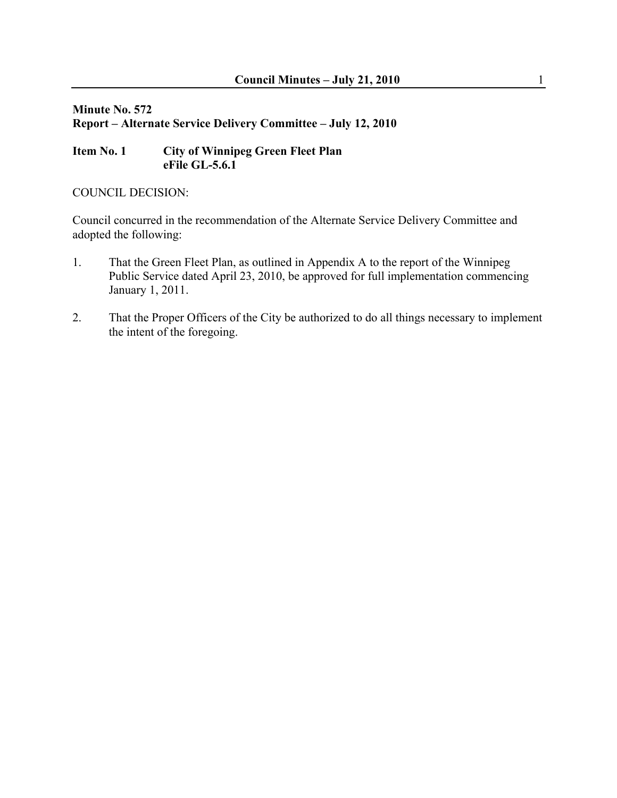#### **Minute No. 572 Report – Alternate Service Delivery Committee – July 12, 2010**

## **Item No. 1 City of Winnipeg Green Fleet Plan eFile GL-5.6.1**

#### COUNCIL DECISION:

Council concurred in the recommendation of the Alternate Service Delivery Committee and adopted the following:

- 1. That the Green Fleet Plan, as outlined in Appendix A to the report of the Winnipeg Public Service dated April 23, 2010, be approved for full implementation commencing January 1, 2011.
- 2. That the Proper Officers of the City be authorized to do all things necessary to implement the intent of the foregoing.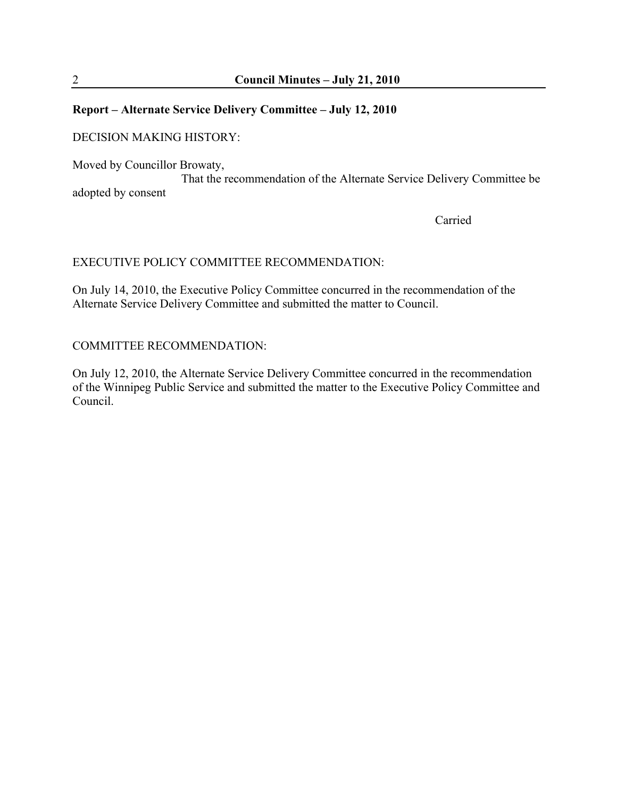#### **Report – Alternate Service Delivery Committee – July 12, 2010**

#### DECISION MAKING HISTORY:

Moved by Councillor Browaty,

 That the recommendation of the Alternate Service Delivery Committee be adopted by consent

**Carried** 

#### EXECUTIVE POLICY COMMITTEE RECOMMENDATION:

On July 14, 2010, the Executive Policy Committee concurred in the recommendation of the Alternate Service Delivery Committee and submitted the matter to Council.

#### COMMITTEE RECOMMENDATION:

On July 12, 2010, the Alternate Service Delivery Committee concurred in the recommendation of the Winnipeg Public Service and submitted the matter to the Executive Policy Committee and Council.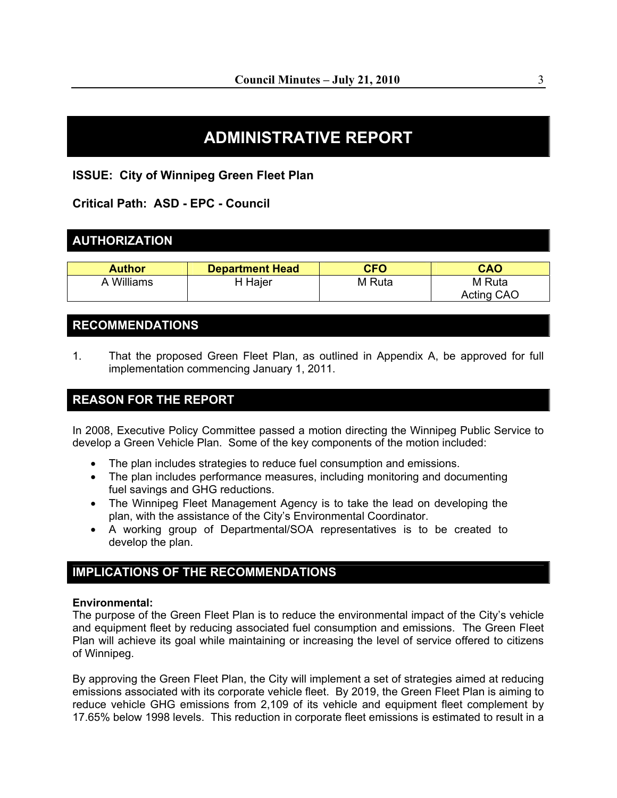# **ADMINISTRATIVE REPORT**

#### **ISSUE: City of Winnipeg Green Fleet Plan**

**Critical Path: ASD - EPC - Council** 

# **AUTHORIZATION**

| <b>Author</b> | <b>Department Head</b> | <b>CFO</b> | <b>CAO</b> |
|---------------|------------------------|------------|------------|
| A Williams    | H Hajer                | M Ruta     | M Ruta     |
|               |                        |            | Acting CAO |

## **RECOMMENDATIONS**

1. That the proposed Green Fleet Plan, as outlined in Appendix A, be approved for full implementation commencing January 1, 2011.

# **REASON FOR THE REPORT**

In 2008, Executive Policy Committee passed a motion directing the Winnipeg Public Service to develop a Green Vehicle Plan. Some of the key components of the motion included:

- The plan includes strategies to reduce fuel consumption and emissions.
- The plan includes performance measures, including monitoring and documenting fuel savings and GHG reductions.
- The Winnipeg Fleet Management Agency is to take the lead on developing the plan, with the assistance of the City's Environmental Coordinator.
- A working group of Departmental/SOA representatives is to be created to develop the plan.

# **IMPLICATIONS OF THE RECOMMENDATIONS**

#### **Environmental:**

The purpose of the Green Fleet Plan is to reduce the environmental impact of the City's vehicle and equipment fleet by reducing associated fuel consumption and emissions. The Green Fleet Plan will achieve its goal while maintaining or increasing the level of service offered to citizens of Winnipeg.

By approving the Green Fleet Plan, the City will implement a set of strategies aimed at reducing emissions associated with its corporate vehicle fleet. By 2019, the Green Fleet Plan is aiming to reduce vehicle GHG emissions from 2,109 of its vehicle and equipment fleet complement by 17.65% below 1998 levels. This reduction in corporate fleet emissions is estimated to result in a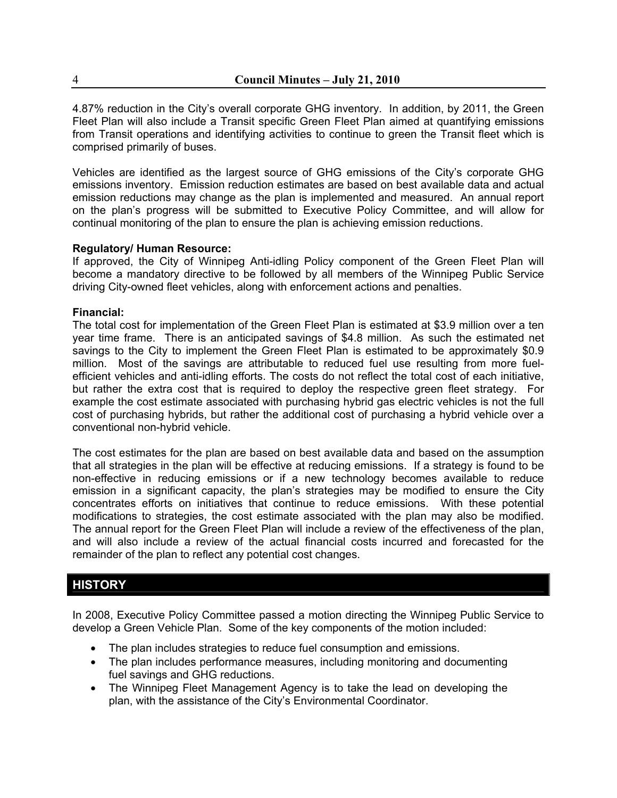4.87% reduction in the City's overall corporate GHG inventory. In addition, by 2011, the Green Fleet Plan will also include a Transit specific Green Fleet Plan aimed at quantifying emissions from Transit operations and identifying activities to continue to green the Transit fleet which is comprised primarily of buses.

Vehicles are identified as the largest source of GHG emissions of the City's corporate GHG emissions inventory. Emission reduction estimates are based on best available data and actual emission reductions may change as the plan is implemented and measured. An annual report on the plan's progress will be submitted to Executive Policy Committee, and will allow for continual monitoring of the plan to ensure the plan is achieving emission reductions.

#### **Regulatory/ Human Resource:**

If approved, the City of Winnipeg Anti-idling Policy component of the Green Fleet Plan will become a mandatory directive to be followed by all members of the Winnipeg Public Service driving City-owned fleet vehicles, along with enforcement actions and penalties.

#### **Financial:**

The total cost for implementation of the Green Fleet Plan is estimated at \$3.9 million over a ten year time frame. There is an anticipated savings of \$4.8 million. As such the estimated net savings to the City to implement the Green Fleet Plan is estimated to be approximately \$0.9 million. Most of the savings are attributable to reduced fuel use resulting from more fuelefficient vehicles and anti-idling efforts. The costs do not reflect the total cost of each initiative, but rather the extra cost that is required to deploy the respective green fleet strategy. For example the cost estimate associated with purchasing hybrid gas electric vehicles is not the full cost of purchasing hybrids, but rather the additional cost of purchasing a hybrid vehicle over a conventional non-hybrid vehicle.

The cost estimates for the plan are based on best available data and based on the assumption that all strategies in the plan will be effective at reducing emissions. If a strategy is found to be non-effective in reducing emissions or if a new technology becomes available to reduce emission in a significant capacity, the plan's strategies may be modified to ensure the City concentrates efforts on initiatives that continue to reduce emissions. With these potential modifications to strategies, the cost estimate associated with the plan may also be modified. The annual report for the Green Fleet Plan will include a review of the effectiveness of the plan, and will also include a review of the actual financial costs incurred and forecasted for the remainder of the plan to reflect any potential cost changes.

### **HISTORY**

In 2008, Executive Policy Committee passed a motion directing the Winnipeg Public Service to develop a Green Vehicle Plan. Some of the key components of the motion included:

- The plan includes strategies to reduce fuel consumption and emissions.
- The plan includes performance measures, including monitoring and documenting fuel savings and GHG reductions.
- The Winnipeg Fleet Management Agency is to take the lead on developing the plan, with the assistance of the City's Environmental Coordinator.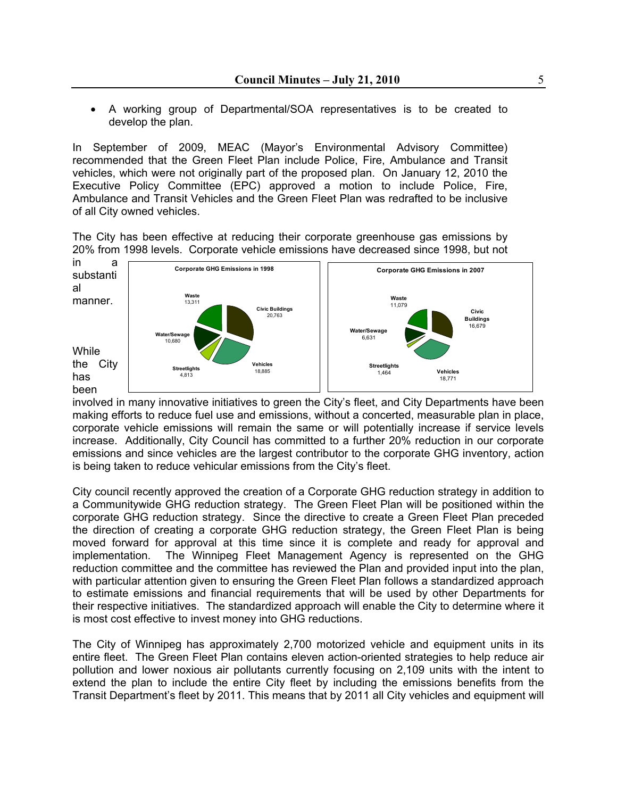• A working group of Departmental/SOA representatives is to be created to develop the plan.

In September of 2009, MEAC (Mayor's Environmental Advisory Committee) recommended that the Green Fleet Plan include Police, Fire, Ambulance and Transit vehicles, which were not originally part of the proposed plan. On January 12, 2010 the Executive Policy Committee (EPC) approved a motion to include Police, Fire, Ambulance and Transit Vehicles and the Green Fleet Plan was redrafted to be inclusive of all City owned vehicles.

The City has been effective at reducing their corporate greenhouse gas emissions by 20% from 1998 levels. Corporate vehicle emissions have decreased since 1998, but not



involved in many innovative initiatives to green the City's fleet, and City Departments have been making efforts to reduce fuel use and emissions, without a concerted, measurable plan in place, corporate vehicle emissions will remain the same or will potentially increase if service levels increase. Additionally, City Council has committed to a further 20% reduction in our corporate emissions and since vehicles are the largest contributor to the corporate GHG inventory, action is being taken to reduce vehicular emissions from the City's fleet.

City council recently approved the creation of a Corporate GHG reduction strategy in addition to a Communitywide GHG reduction strategy. The Green Fleet Plan will be positioned within the corporate GHG reduction strategy. Since the directive to create a Green Fleet Plan preceded the direction of creating a corporate GHG reduction strategy, the Green Fleet Plan is being moved forward for approval at this time since it is complete and ready for approval and implementation. The Winnipeg Fleet Management Agency is represented on the GHG reduction committee and the committee has reviewed the Plan and provided input into the plan, with particular attention given to ensuring the Green Fleet Plan follows a standardized approach to estimate emissions and financial requirements that will be used by other Departments for their respective initiatives. The standardized approach will enable the City to determine where it is most cost effective to invest money into GHG reductions.

The City of Winnipeg has approximately 2,700 motorized vehicle and equipment units in its entire fleet. The Green Fleet Plan contains eleven action-oriented strategies to help reduce air pollution and lower noxious air pollutants currently focusing on 2,109 units with the intent to extend the plan to include the entire City fleet by including the emissions benefits from the Transit Department's fleet by 2011. This means that by 2011 all City vehicles and equipment will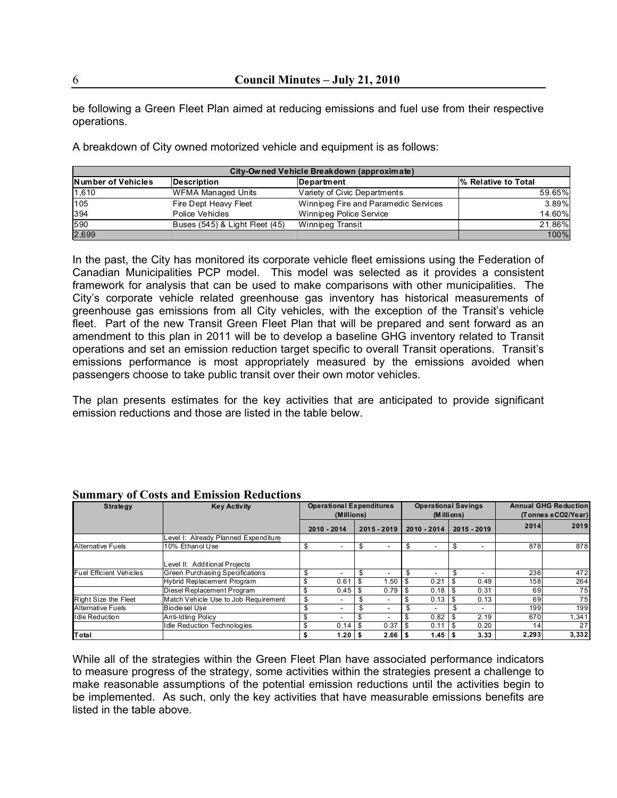be following a Green Fleet Plan aimed at reducing emissions and fuel use from their respective operations.

A breakdown of City owned motorized vehicle and equipment is as follows:

| City-Owned Vehicle Breakdown (approximate) |                                |                                      |                                  |  |  |  |
|--------------------------------------------|--------------------------------|--------------------------------------|----------------------------------|--|--|--|
| <b>Number of Vehicles</b>                  | Description                    | Department                           | <sup>1</sup> % Relative to Total |  |  |  |
| 1,610                                      | <b>WFMA Managed Units</b>      | Variety of Civic Departments         | 59.65%                           |  |  |  |
| 105                                        | Fire Dept Heavy Fleet          | Winnipeg Fire and Paramedic Services | 3.89%                            |  |  |  |
| 394                                        | Police Vehicles                | Winnipeg Police Service              | 14.60%                           |  |  |  |
| 590                                        | Buses (545) & Light Fleet (45) | Winnipeg Transit                     | 21.86%                           |  |  |  |
| 2,699                                      |                                |                                      | 100%                             |  |  |  |

In the past, the City has monitored its corporate vehicle fleet emissions using the Federation of Canadian Municipalities PCP model. This model was selected as it provides a consistent framework for analysis that can be used to make comparisons with other municipalities. The City's corporate vehicle related greenhouse gas inventory has historical measurements of greenhouse gas emissions from all City vehicles, with the exception of the Transit's vehicle fleet. Part of the new Transit Green Fleet Plan that will be prepared and sent forward as an amendment to this plan in 2011 will be to develop a baseline GHG inventory related to Transit operations and set an emission reduction target specific to overall Transit operations. Transit's emissions performance is most appropriately measured by the emissions avoided when passengers choose to take public transit over their own motor vehicles.

The plan presents estimates for the key activities that are anticipated to provide significant emission reductions and those are listed in the table below.

| <b>Strategy</b>                | <b>Key Activity</b>                  | <b>Operational Expenditures</b>       |   |             |             | <b>Operational Savings</b> |  |             | <b>Annual GHG Reduction</b> |                    |  |
|--------------------------------|--------------------------------------|---------------------------------------|---|-------------|-------------|----------------------------|--|-------------|-----------------------------|--------------------|--|
|                                |                                      | (Millions)                            |   |             | (M illions) |                            |  |             |                             | (Tonnes eCO2/Year) |  |
|                                |                                      | 2010 - 2014                           |   | 2015 - 2019 |             | 2010 - 2014                |  | 2015 - 2019 | 2014                        | 2019               |  |
|                                | evel I: Already Planned Expenditure  |                                       |   |             |             |                            |  |             |                             |                    |  |
| <b>Alternative Fuels</b>       | 10% Ethanol Use                      |                                       | S |             | -S          | $\overline{\phantom{a}}$   |  |             | 878                         | 878                |  |
|                                | evel II: Additional Projects         |                                       |   |             |             |                            |  |             |                             |                    |  |
| <b>Fuel Efficient Vehicles</b> | Green Purchasing Specifications      |                                       |   |             |             | $\overline{\phantom{0}}$   |  |             | 236                         | 472                |  |
|                                | <b>Hybrid Replacement Program</b>    |                                       |   | 1.50        | - \$        | 0.21                       |  | 0.49        | 158                         | 264                |  |
|                                | Diesel Replacement Program           | $0.45$   \$                           |   | 0.79        |             | 0.18                       |  | 0.31        | 69                          | 75                 |  |
| Right Size the Fleet           | Match Vehicle Use to Job Requirement | \$                                    |   |             |             | 0.13                       |  | 0.13        | 69                          | 75                 |  |
| <b>Alternative Fuels</b>       | Biodiesel Use                        |                                       |   |             |             | $\overline{\phantom{0}}$   |  |             | 199                         | 199                |  |
| <b>Idle Reduction</b>          | Anti-Idling Policy                   |                                       |   |             |             | 0.82                       |  | 2.19        | 670                         | 1,341              |  |
|                                | Idle Reduction Technologies          | \$<br>$0.14$ $\overline{\phantom{0}}$ |   | 0.37        | - \$        | 0.11                       |  | 0.20        | 14                          | 27                 |  |
| Total                          |                                      | 1.20 $\sqrt{5}$                       |   | 2.66        |             | $1.45$ \ \$                |  | 3.33        | 2,293                       | 3,332              |  |

#### **Summary of Costs and Emission Reductions**

While all of the strategies within the Green Fleet Plan have associated performance indicators to measure progress of the strategy, some activities within the strategies present a challenge to make reasonable assumptions of the potential emission reductions until the activities begin to be implemented. As such, only the key activities that have measurable emissions benefits are listed in the table above.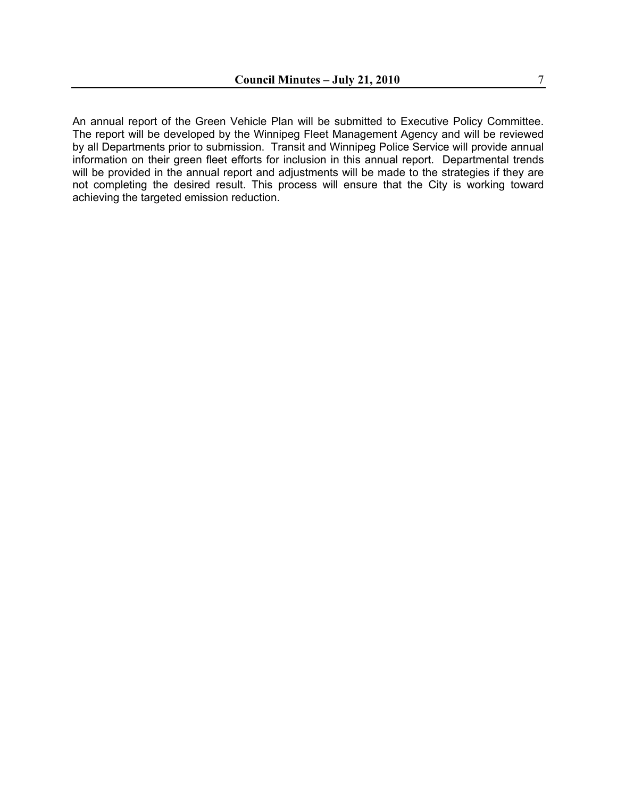An annual report of the Green Vehicle Plan will be submitted to Executive Policy Committee. The report will be developed by the Winnipeg Fleet Management Agency and will be reviewed by all Departments prior to submission. Transit and Winnipeg Police Service will provide annual information on their green fleet efforts for inclusion in this annual report. Departmental trends will be provided in the annual report and adjustments will be made to the strategies if they are not completing the desired result. This process will ensure that the City is working toward achieving the targeted emission reduction.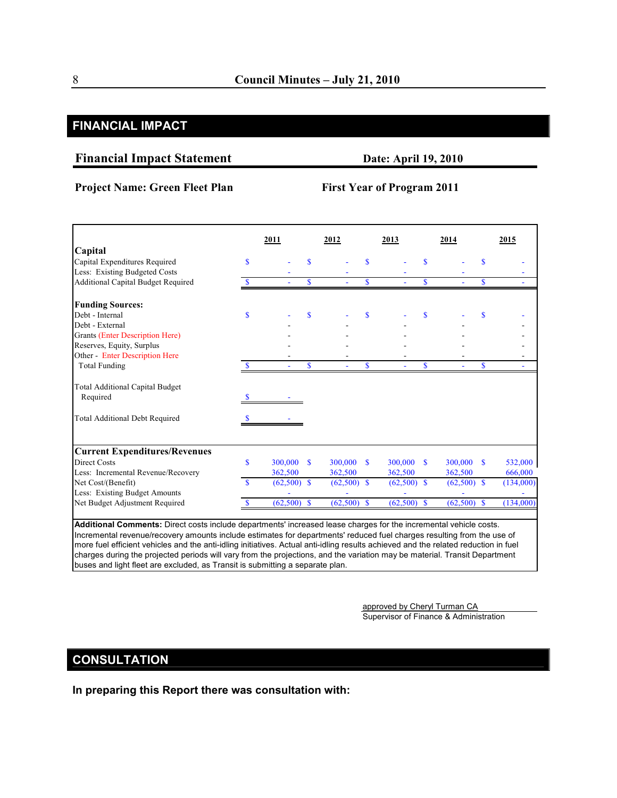# **FINANCIAL IMPACT**

#### **Financial Impact Statement Date: April 19, 2010**

#### **Project Name: Green Fleet Plan First Year of Program 2011**

|                                           |             | 2011          |              | 2012          |              | 2013          |              | 2014          |              | 2015      |
|-------------------------------------------|-------------|---------------|--------------|---------------|--------------|---------------|--------------|---------------|--------------|-----------|
| Capital                                   |             |               |              |               |              |               |              |               |              |           |
| Capital Expenditures Required             | S           |               | \$           |               | $\mathbf{s}$ |               | $\mathbf{s}$ |               | \$           |           |
| Less: Existing Budgeted Costs             |             |               |              |               |              |               |              |               |              |           |
| <b>Additional Capital Budget Required</b> |             |               | $\mathbf S$  |               | S            |               | <b>S</b>     |               | $\mathbf S$  |           |
| <b>Funding Sources:</b>                   |             |               |              |               |              |               |              |               |              |           |
| Debt - Internal                           | S           |               | $\mathbf{s}$ |               | S            |               | $\mathbf{s}$ |               | \$           |           |
| Debt - External                           |             |               |              |               |              |               |              |               |              |           |
| <b>Grants (Enter Description Here)</b>    |             |               |              |               |              |               |              |               |              |           |
| Reserves, Equity, Surplus                 |             |               |              |               |              |               |              |               |              |           |
| Other - Enter Description Here            |             |               |              |               |              |               |              |               |              |           |
| <b>Total Funding</b>                      |             |               | \$           |               | S            |               | S            |               | \$           |           |
| <b>Total Additional Capital Budget</b>    |             |               |              |               |              |               |              |               |              |           |
| Required                                  |             |               |              |               |              |               |              |               |              |           |
| <b>Total Additional Debt Required</b>     |             |               |              |               |              |               |              |               |              |           |
| <b>Current Expenditures/Revenues</b>      |             |               |              |               |              |               |              |               |              |           |
| <b>Direct Costs</b>                       | $\mathbf S$ | 300,000       | $\mathbf{s}$ | 300,000       | <b>S</b>     | 300,000 \$    |              | 300,000       | $\mathbf{s}$ | 532,000   |
| Less: Incremental Revenue/Recovery        |             | 362,500       |              | 362,500       |              | 362,500       |              | 362,500       |              | 666,000   |
| Net Cost/(Benefit)                        | <b>S</b>    | $(62,500)$ \$ |              | $(62,500)$ \$ |              | $(62,500)$ \$ |              | $(62,500)$ \$ |              | (134,000) |
| Less: Existing Budget Amounts             |             |               |              |               |              |               |              |               |              |           |
| Net Budget Adjustment Required            |             | $(62,500)$ \$ |              | $(62,500)$ \$ |              | $(62,500)$ \$ |              | $(62,500)$ \$ |              | (134,000) |

**Additional Comments:** Direct costs include departments' increased lease charges for the incremental vehicle costs. Incremental revenue/recovery amounts include estimates for departments' reduced fuel charges resulting from the use of more fuel efficient vehicles and the anti-idling initiatives. Actual anti-idling results achieved and the related reduction in fuel charges during the projected periods will vary from the projections, and the variation may be material. Transit Department buses and light fleet are excluded, as Transit is submitting a separate plan.

> approved by Cheryl Turman CA Supervisor of Finance & Administration

# **CONSULTATION**

**In preparing this Report there was consultation with:**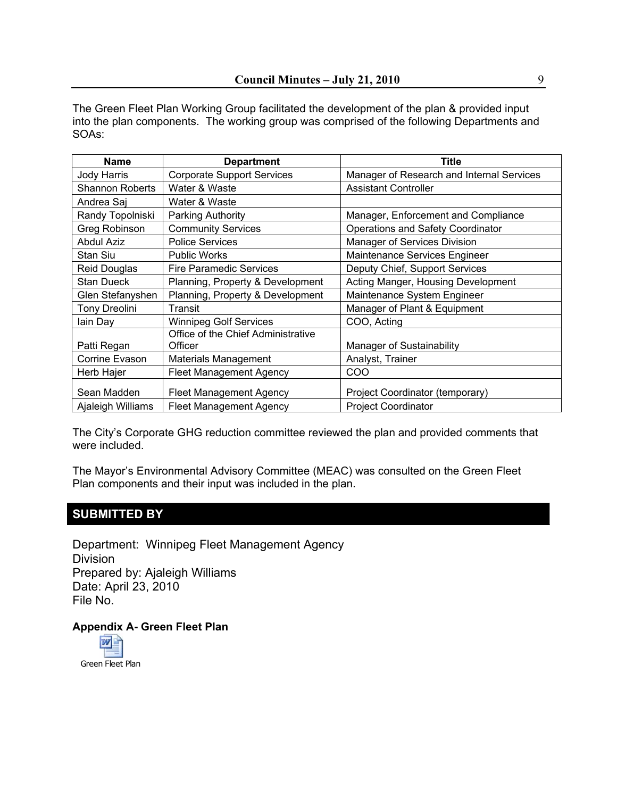The Green Fleet Plan Working Group facilitated the development of the plan & provided input into the plan components. The working group was comprised of the following Departments and SOAs:

| <b>Name</b>            | <b>Department</b>                  | Title                                     |
|------------------------|------------------------------------|-------------------------------------------|
| <b>Jody Harris</b>     | <b>Corporate Support Services</b>  | Manager of Research and Internal Services |
| <b>Shannon Roberts</b> | Water & Waste                      | <b>Assistant Controller</b>               |
| Andrea Saj             | Water & Waste                      |                                           |
| Randy Topolniski       | Parking Authority                  | Manager, Enforcement and Compliance       |
| Greg Robinson          | <b>Community Services</b>          | <b>Operations and Safety Coordinator</b>  |
| <b>Abdul Aziz</b>      | <b>Police Services</b>             | Manager of Services Division              |
| Stan Siu               | <b>Public Works</b>                | Maintenance Services Engineer             |
| Reid Douglas           | <b>Fire Paramedic Services</b>     | Deputy Chief, Support Services            |
| <b>Stan Dueck</b>      | Planning, Property & Development   | Acting Manger, Housing Development        |
| Glen Stefanyshen       | Planning, Property & Development   | Maintenance System Engineer               |
| <b>Tony Dreolini</b>   | <b>Transit</b>                     | Manager of Plant & Equipment              |
| lain Day               | <b>Winnipeg Golf Services</b>      | COO, Acting                               |
|                        | Office of the Chief Administrative |                                           |
| Patti Regan            | Officer                            | Manager of Sustainability                 |
| Corrine Evason         | Materials Management               | Analyst, Trainer                          |
| Herb Hajer             | <b>Fleet Management Agency</b>     | COO                                       |
| Sean Madden            | <b>Fleet Management Agency</b>     | Project Coordinator (temporary)           |
| Ajaleigh Williams      | <b>Fleet Management Agency</b>     | <b>Project Coordinator</b>                |

The City's Corporate GHG reduction committee reviewed the plan and provided comments that were included.

The Mayor's Environmental Advisory Committee (MEAC) was consulted on the Green Fleet Plan components and their input was included in the plan.

# **SUBMITTED BY**

Department: Winnipeg Fleet Management Agency Division Prepared by: Ajaleigh Williams Date: April 23, 2010 File No.

**Appendix A- Green Fleet Plan** 

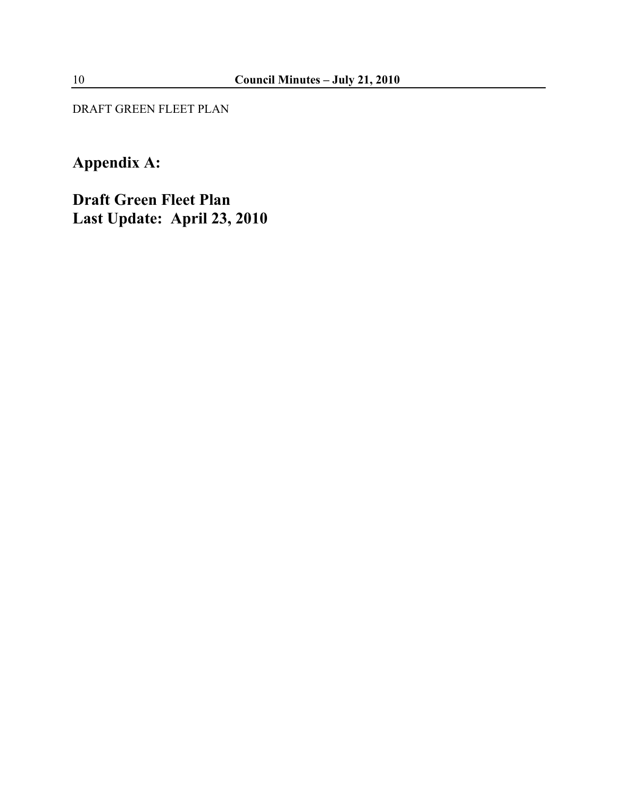DRAFT GREEN FLEET PLAN

# **Appendix A:**

**Draft Green Fleet Plan Last Update: April 23, 2010**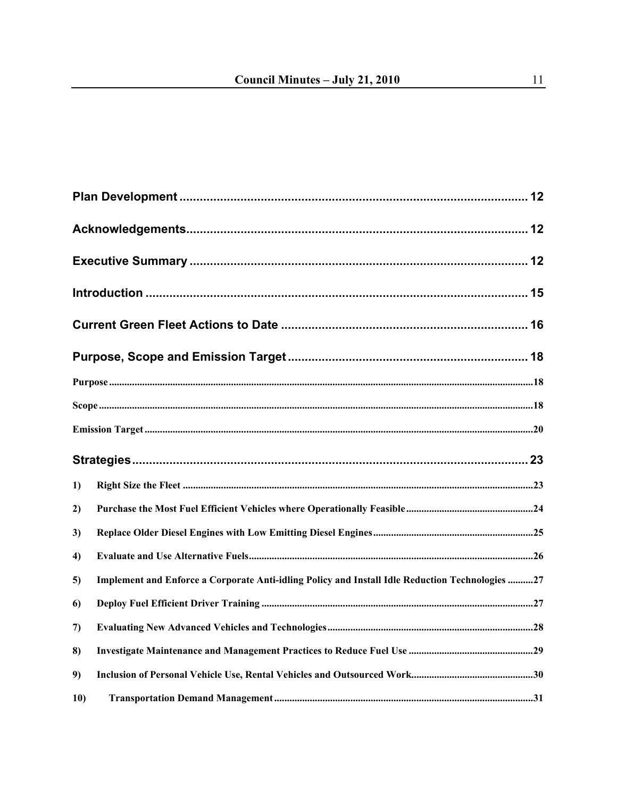| 1)  |                                                                                                 |  |
|-----|-------------------------------------------------------------------------------------------------|--|
| 2)  |                                                                                                 |  |
| 3)  |                                                                                                 |  |
| 4)  |                                                                                                 |  |
| 5)  | Implement and Enforce a Corporate Anti-idling Policy and Install Idle Reduction Technologies 27 |  |
| 6)  |                                                                                                 |  |
| 7)  |                                                                                                 |  |
| 8)  |                                                                                                 |  |
| 9)  |                                                                                                 |  |
| 10) |                                                                                                 |  |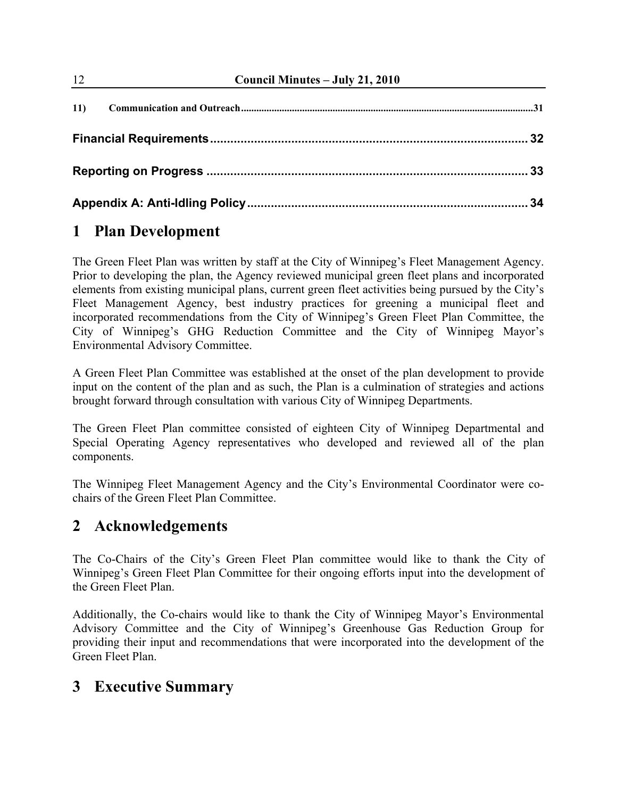| 12  | Council Minutes - July 21, 2010 |    |  |  |  |  |
|-----|---------------------------------|----|--|--|--|--|
| 11) |                                 |    |  |  |  |  |
|     |                                 |    |  |  |  |  |
|     |                                 |    |  |  |  |  |
|     |                                 | 34 |  |  |  |  |

# **1 Plan Development**

The Green Fleet Plan was written by staff at the City of Winnipeg's Fleet Management Agency. Prior to developing the plan, the Agency reviewed municipal green fleet plans and incorporated elements from existing municipal plans, current green fleet activities being pursued by the City's Fleet Management Agency, best industry practices for greening a municipal fleet and incorporated recommendations from the City of Winnipeg's Green Fleet Plan Committee, the City of Winnipeg's GHG Reduction Committee and the City of Winnipeg Mayor's Environmental Advisory Committee.

A Green Fleet Plan Committee was established at the onset of the plan development to provide input on the content of the plan and as such, the Plan is a culmination of strategies and actions brought forward through consultation with various City of Winnipeg Departments.

The Green Fleet Plan committee consisted of eighteen City of Winnipeg Departmental and Special Operating Agency representatives who developed and reviewed all of the plan components.

The Winnipeg Fleet Management Agency and the City's Environmental Coordinator were cochairs of the Green Fleet Plan Committee.

# **2 Acknowledgements**

The Co-Chairs of the City's Green Fleet Plan committee would like to thank the City of Winnipeg's Green Fleet Plan Committee for their ongoing efforts input into the development of the Green Fleet Plan.

Additionally, the Co-chairs would like to thank the City of Winnipeg Mayor's Environmental Advisory Committee and the City of Winnipeg's Greenhouse Gas Reduction Group for providing their input and recommendations that were incorporated into the development of the Green Fleet Plan.

# **3 Executive Summary**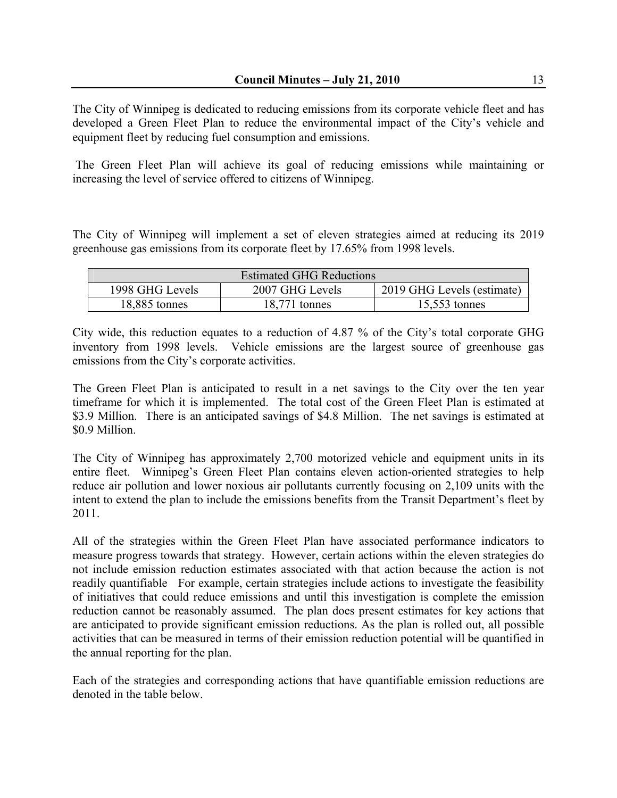The City of Winnipeg is dedicated to reducing emissions from its corporate vehicle fleet and has developed a Green Fleet Plan to reduce the environmental impact of the City's vehicle and equipment fleet by reducing fuel consumption and emissions.

 The Green Fleet Plan will achieve its goal of reducing emissions while maintaining or increasing the level of service offered to citizens of Winnipeg.

The City of Winnipeg will implement a set of eleven strategies aimed at reducing its 2019 greenhouse gas emissions from its corporate fleet by 17.65% from 1998 levels.

| <b>Estimated GHG Reductions</b> |                            |                 |  |  |  |  |  |
|---------------------------------|----------------------------|-----------------|--|--|--|--|--|
| 1998 GHG Levels                 | 2019 GHG Levels (estimate) |                 |  |  |  |  |  |
| 18,885 tonnes                   | $18,771$ tonnes            | $15,553$ tonnes |  |  |  |  |  |

City wide, this reduction equates to a reduction of 4.87 % of the City's total corporate GHG inventory from 1998 levels. Vehicle emissions are the largest source of greenhouse gas emissions from the City's corporate activities.

The Green Fleet Plan is anticipated to result in a net savings to the City over the ten year timeframe for which it is implemented. The total cost of the Green Fleet Plan is estimated at \$3.9 Million. There is an anticipated savings of \$4.8 Million. The net savings is estimated at \$0.9 Million.

The City of Winnipeg has approximately 2,700 motorized vehicle and equipment units in its entire fleet. Winnipeg's Green Fleet Plan contains eleven action-oriented strategies to help reduce air pollution and lower noxious air pollutants currently focusing on 2,109 units with the intent to extend the plan to include the emissions benefits from the Transit Department's fleet by 2011.

All of the strategies within the Green Fleet Plan have associated performance indicators to measure progress towards that strategy. However, certain actions within the eleven strategies do not include emission reduction estimates associated with that action because the action is not readily quantifiable For example, certain strategies include actions to investigate the feasibility of initiatives that could reduce emissions and until this investigation is complete the emission reduction cannot be reasonably assumed. The plan does present estimates for key actions that are anticipated to provide significant emission reductions. As the plan is rolled out, all possible activities that can be measured in terms of their emission reduction potential will be quantified in the annual reporting for the plan.

Each of the strategies and corresponding actions that have quantifiable emission reductions are denoted in the table below.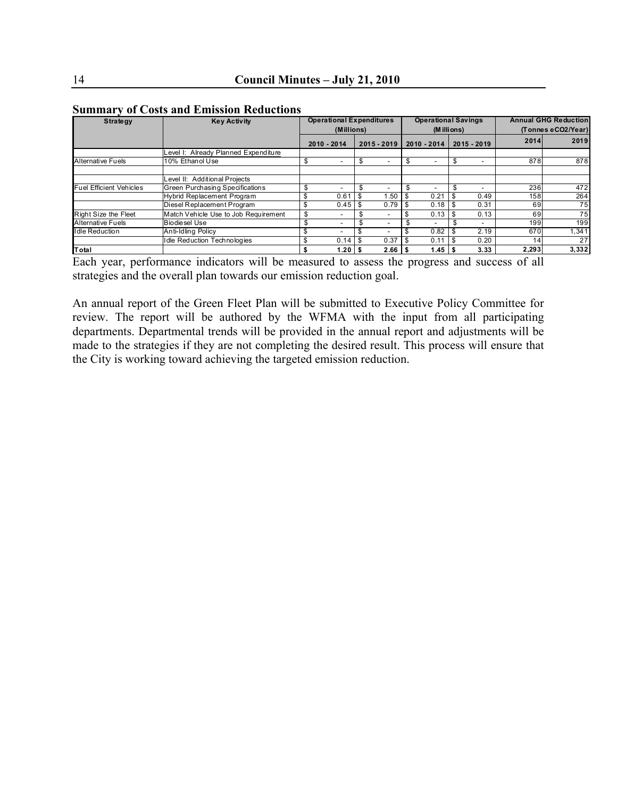| <b>Strategy</b>                | <b>Key Activity</b>                  | <b>Operational Expenditures</b><br>(Millions) |                 | <b>Operational Savings</b><br>(Millions) |             |      |                          | <b>Annual GHG Reduction</b><br>(Tonnes eCO2/Year) |               |       |       |
|--------------------------------|--------------------------------------|-----------------------------------------------|-----------------|------------------------------------------|-------------|------|--------------------------|---------------------------------------------------|---------------|-------|-------|
|                                |                                      |                                               | 2010 - 2014     |                                          | 2015 - 2019 |      | 2010 - 2014              |                                                   | $2015 - 2019$ | 2014  | 2019  |
|                                | evel I: Already Planned Expenditure  |                                               |                 |                                          |             |      |                          |                                                   |               |       |       |
| <b>Alternative Fuels</b>       | 10% Ethanol Use                      | \$                                            |                 | \$                                       |             | \$   | $\overline{\phantom{0}}$ | S                                                 |               | 878   | 878   |
|                                |                                      |                                               |                 |                                          |             |      |                          |                                                   |               |       |       |
|                                | evel II: Additional Projects         |                                               |                 |                                          |             |      |                          |                                                   |               |       |       |
| <b>Fuel Efficient Vehicles</b> | Green Purchasing Specifications      |                                               |                 |                                          |             |      | $\overline{\phantom{0}}$ |                                                   |               | 236   | 472   |
|                                | <b>Hybrid Replacement Program</b>    |                                               | 0.61            |                                          | 1.50        | - 55 | 0.21                     |                                                   | 0.49          | 158   | 264   |
|                                | Diesel Replacement Program           |                                               | 0.45            |                                          | 0.79        |      | 0.18                     |                                                   | 0.31          | 69    | 75    |
| Right Size the Fleet           | Match Vehicle Use to Job Requirement | \$                                            |                 |                                          |             |      | 0.13                     |                                                   | 0.13          | 69    | 75    |
| <b>Alternative Fuels</b>       | <b>Biodiesel Use</b>                 |                                               |                 |                                          |             |      | $\overline{\phantom{a}}$ |                                                   | -             | 199   | 199   |
| <b>Idle Reduction</b>          | Anti-Idling Policy                   |                                               |                 |                                          |             |      | 0.82                     |                                                   | 2.19          | 670   | 1,341 |
|                                | <b>Idle Reduction Technologies</b>   |                                               | 0.14            | l \$                                     | 0.37        |      | 0.11                     |                                                   | 0.20          | 14    | 27    |
| Total                          |                                      |                                               | 1.20 $\sqrt{3}$ |                                          | 2.66        |      | 1.45                     |                                                   | 3.33          | 2.293 | 3.332 |

#### **Summary of Costs and Emission Reductions**

Each year, performance indicators will be measured to assess the progress and success of all strategies and the overall plan towards our emission reduction goal.

An annual report of the Green Fleet Plan will be submitted to Executive Policy Committee for review. The report will be authored by the WFMA with the input from all participating departments. Departmental trends will be provided in the annual report and adjustments will be made to the strategies if they are not completing the desired result. This process will ensure that the City is working toward achieving the targeted emission reduction.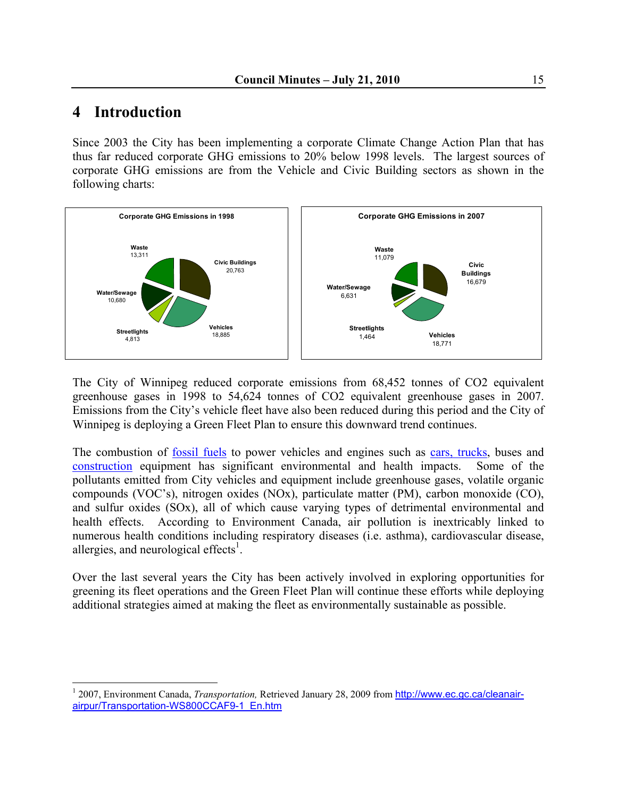# **4 Introduction**

1

Since 2003 the City has been implementing a corporate Climate Change Action Plan that has thus far reduced corporate GHG emissions to 20% below 1998 levels. The largest sources of corporate GHG emissions are from the Vehicle and Civic Building sectors as shown in the following charts:



The City of Winnipeg reduced corporate emissions from 68,452 tonnes of CO2 equivalent greenhouse gases in 1998 to 54,624 tonnes of CO2 equivalent greenhouse gases in 2007. Emissions from the City's vehicle fleet have also been reduced during this period and the City of Winnipeg is deploying a Green Fleet Plan to ensure this downward trend continues.

The combustion of [fossil fuels](http://www.ec.gc.ca/cleanair-airpur/Fuels-WS1BFB4A0C-1_En.htm) to power vehicles and engines such as [cars, trucks,](http://www.ec.gc.ca/cleanair-airpur/Cars_and_Trucks-WSEC8E75D0-1_En.htm) buses an[d](http://www.ec.gc.ca/cleanair-airpur/Farming_and_Construction-WS91EB3829-1_En.htm) [construction](http://www.ec.gc.ca/cleanair-airpur/Farming_and_Construction-WS91EB3829-1_En.htm) equipment has significant environmental and health impacts. Some of the pollutants emitted from City vehicles and equipment include greenhouse gases, volatile organic compounds (VOC's), nitrogen oxides (NOx), particulate matter (PM), carbon monoxide (CO), and sulfur oxides (SOx), all of which cause varying types of detrimental environmental and health effects. According to Environment Canada, air pollution is inextricably linked to numerous health conditions including respiratory diseases (i.e. asthma), cardiovascular disease, allergies, and neurological effects<sup>1</sup>.

Over the last several years the City has been actively involved in exploring opportunities for greening its fleet operations and the Green Fleet Plan will continue these efforts while deploying additional strategies aimed at making the fleet as environmentally sustainable as possible.

<sup>&</sup>lt;sup>1</sup> 2007, Environment Canada, *Transportation*, Retrieved January 28, 2009 from http://www.ec.gc.ca/cleanairairpur/Transportation-WS800CCAF9-1\_En.htm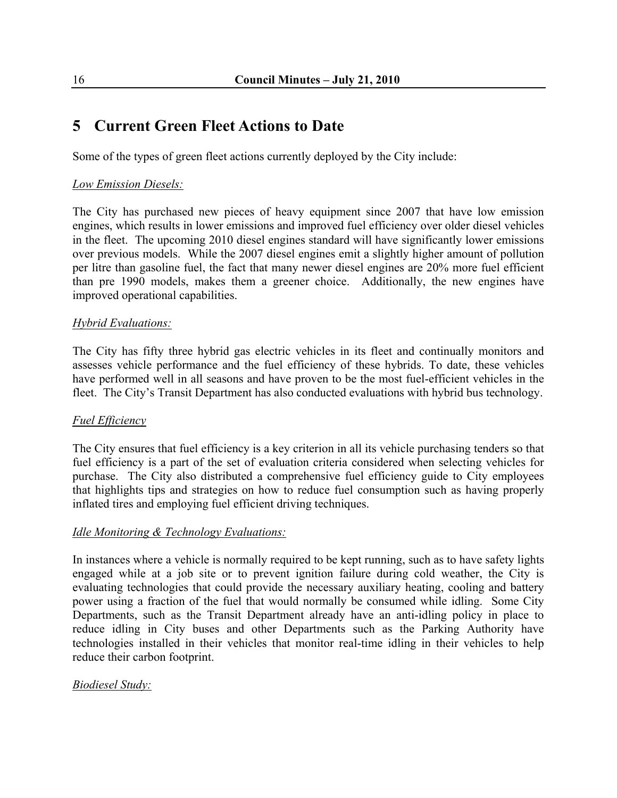# **5 Current Green Fleet Actions to Date**

Some of the types of green fleet actions currently deployed by the City include:

#### *Low Emission Diesels:*

The City has purchased new pieces of heavy equipment since 2007 that have low emission engines, which results in lower emissions and improved fuel efficiency over older diesel vehicles in the fleet. The upcoming 2010 diesel engines standard will have significantly lower emissions over previous models. While the 2007 diesel engines emit a slightly higher amount of pollution per litre than gasoline fuel, the fact that many newer diesel engines are 20% more fuel efficient than pre 1990 models, makes them a greener choice. Additionally, the new engines have improved operational capabilities.

#### *Hybrid Evaluations:*

The City has fifty three hybrid gas electric vehicles in its fleet and continually monitors and assesses vehicle performance and the fuel efficiency of these hybrids. To date, these vehicles have performed well in all seasons and have proven to be the most fuel-efficient vehicles in the fleet. The City's Transit Department has also conducted evaluations with hybrid bus technology.

#### *Fuel Efficiency*

The City ensures that fuel efficiency is a key criterion in all its vehicle purchasing tenders so that fuel efficiency is a part of the set of evaluation criteria considered when selecting vehicles for purchase. The City also distributed a comprehensive fuel efficiency guide to City employees that highlights tips and strategies on how to reduce fuel consumption such as having properly inflated tires and employing fuel efficient driving techniques.

#### *Idle Monitoring & Technology Evaluations:*

In instances where a vehicle is normally required to be kept running, such as to have safety lights engaged while at a job site or to prevent ignition failure during cold weather, the City is evaluating technologies that could provide the necessary auxiliary heating, cooling and battery power using a fraction of the fuel that would normally be consumed while idling. Some City Departments, such as the Transit Department already have an anti-idling policy in place to reduce idling in City buses and other Departments such as the Parking Authority have technologies installed in their vehicles that monitor real-time idling in their vehicles to help reduce their carbon footprint.

#### *Biodiesel Study:*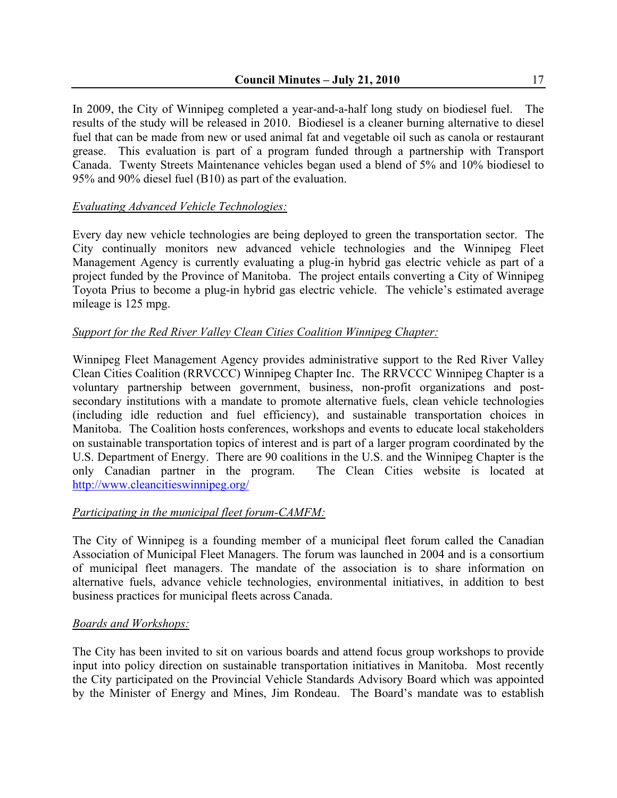In 2009, the City of Winnipeg completed a year-and-a-half long study on biodiesel fuel. The results of the study will be released in 2010. Biodiesel is a cleaner burning alternative to diesel fuel that can be made from new or used animal fat and vegetable oil such as canola or restaurant grease. This evaluation is part of a program funded through a partnership with Transport Canada. Twenty Streets Maintenance vehicles began used a blend of 5% and 10% biodiesel to 95% and 90% diesel fuel (B10) as part of the evaluation.

#### *Evaluating Advanced Vehicle Technologies:*

Every day new vehicle technologies are being deployed to green the transportation sector. The City continually monitors new advanced vehicle technologies and the Winnipeg Fleet Management Agency is currently evaluating a plug-in hybrid gas electric vehicle as part of a project funded by the Province of Manitoba. The project entails converting a City of Winnipeg Toyota Prius to become a plug-in hybrid gas electric vehicle. The vehicle's estimated average mileage is 125 mpg.

### *Support for the Red River Valley Clean Cities Coalition Winnipeg Chapter:*

Winnipeg Fleet Management Agency provides administrative support to the Red River Valley Clean Cities Coalition (RRVCCC) Winnipeg Chapter Inc. The RRVCCC Winnipeg Chapter is a voluntary partnership between government, business, non-profit organizations and postsecondary institutions with a mandate to promote alternative fuels, clean vehicle technologies (including idle reduction and fuel efficiency), and sustainable transportation choices in Manitoba. The Coalition hosts conferences, workshops and events to educate local stakeholders on sustainable transportation topics of interest and is part of a larger program coordinated by the U.S. Department of Energy. There are 90 coalitions in the U.S. and the Winnipeg Chapter is the only Canadian partner in the program. The Clean Cities website is located at <http://www.cleancitieswinnipeg.org/>

#### *Participating in the municipal fleet forum-CAMFM:*

The City of Winnipeg is a founding member of a municipal fleet forum called the Canadian Association of Municipal Fleet Managers. The forum was launched in 2004 and is a consortium of municipal fleet managers. The mandate of the association is to share information on alternative fuels, advance vehicle technologies, environmental initiatives, in addition to best business practices for municipal fleets across Canada.

#### *Boards and Workshops:*

The City has been invited to sit on various boards and attend focus group workshops to provide input into policy direction on sustainable transportation initiatives in Manitoba. Most recently the City participated on the Provincial Vehicle Standards Advisory Board which was appointed by the Minister of Energy and Mines, Jim Rondeau. The Board's mandate was to establish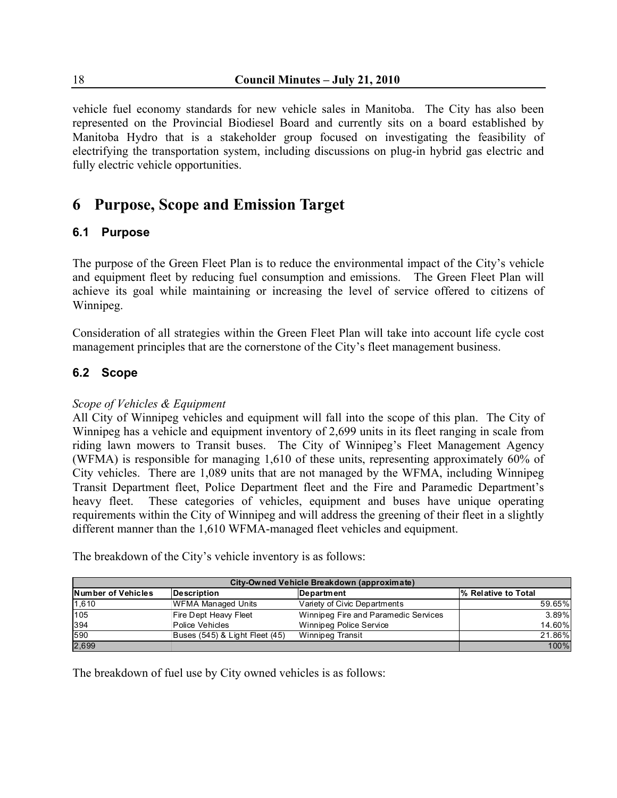vehicle fuel economy standards for new vehicle sales in Manitoba. The City has also been represented on the Provincial Biodiesel Board and currently sits on a board established by Manitoba Hydro that is a stakeholder group focused on investigating the feasibility of electrifying the transportation system, including discussions on plug-in hybrid gas electric and fully electric vehicle opportunities.

# **6 Purpose, Scope and Emission Target**

#### **6.1 Purpose**

The purpose of the Green Fleet Plan is to reduce the environmental impact of the City's vehicle and equipment fleet by reducing fuel consumption and emissions. The Green Fleet Plan will achieve its goal while maintaining or increasing the level of service offered to citizens of Winnipeg.

Consideration of all strategies within the Green Fleet Plan will take into account life cycle cost management principles that are the cornerstone of the City's fleet management business.

### **6.2 Scope**

#### *Scope of Vehicles & Equipment*

All City of Winnipeg vehicles and equipment will fall into the scope of this plan. The City of Winnipeg has a vehicle and equipment inventory of 2,699 units in its fleet ranging in scale from riding lawn mowers to Transit buses. The City of Winnipeg's Fleet Management Agency (WFMA) is responsible for managing 1,610 of these units, representing approximately 60% of City vehicles. There are 1,089 units that are not managed by the WFMA, including Winnipeg Transit Department fleet, Police Department fleet and the Fire and Paramedic Department's heavy fleet. These categories of vehicles, equipment and buses have unique operating requirements within the City of Winnipeg and will address the greening of their fleet in a slightly different manner than the 1,610 WFMA-managed fleet vehicles and equipment.

| City-Owned Vehicle Breakdown (approximate) |                                |                                      |                                  |  |  |  |  |
|--------------------------------------------|--------------------------------|--------------------------------------|----------------------------------|--|--|--|--|
| <b>Number of Vehicles</b>                  | Description                    | Department                           | <sup>1</sup> % Relative to Total |  |  |  |  |
| 1,610                                      | <b>WFMA Managed Units</b>      | Variety of Civic Departments         | 59.65%                           |  |  |  |  |
| 105                                        | Fire Dept Heavy Fleet          | Winnipeg Fire and Paramedic Services | 3.89%                            |  |  |  |  |
| 394                                        | Police Vehicles                | Winnipeg Police Service              | 14.60%                           |  |  |  |  |
| 590                                        | Buses (545) & Light Fleet (45) | Winnipeg Transit                     | 21.86%                           |  |  |  |  |
| 2,699                                      |                                |                                      | 100%                             |  |  |  |  |

The breakdown of the City's vehicle inventory is as follows:

The breakdown of fuel use by City owned vehicles is as follows: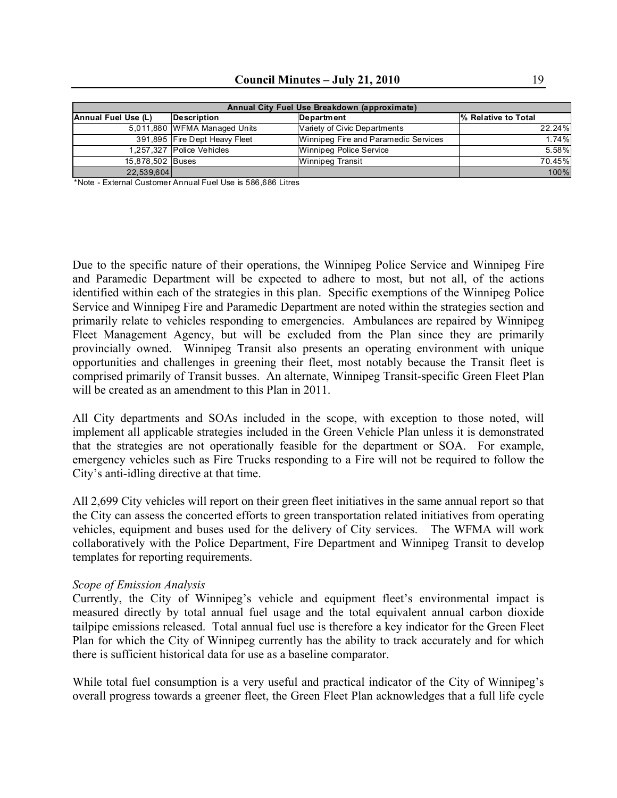| Annual City Fuel Use Breakdown (approximate) |                                 |                                      |        |  |  |  |  |
|----------------------------------------------|---------------------------------|--------------------------------------|--------|--|--|--|--|
| Annual Fuel Use (L)                          | 1% Relative to Total            |                                      |        |  |  |  |  |
|                                              | 5,011,880 WFMA Managed Units    | Variety of Civic Departments         | 22.24% |  |  |  |  |
|                                              | 391,895   Fire Dept Heavy Fleet | Winnipeg Fire and Paramedic Services | 1.74%  |  |  |  |  |
|                                              | 1,257,327   Police Vehicles     | Winnipeg Police Service              | 5.58%  |  |  |  |  |
| 15,878,502 Buses                             |                                 | Winnipeg Transit                     | 70.45% |  |  |  |  |
| 22,539,604                                   |                                 |                                      | 100%   |  |  |  |  |

\*Note - External Customer Annual Fuel Use is 586,686 Litres

Due to the specific nature of their operations, the Winnipeg Police Service and Winnipeg Fire and Paramedic Department will be expected to adhere to most, but not all, of the actions identified within each of the strategies in this plan. Specific exemptions of the Winnipeg Police Service and Winnipeg Fire and Paramedic Department are noted within the strategies section and primarily relate to vehicles responding to emergencies. Ambulances are repaired by Winnipeg Fleet Management Agency, but will be excluded from the Plan since they are primarily provincially owned. Winnipeg Transit also presents an operating environment with unique opportunities and challenges in greening their fleet, most notably because the Transit fleet is comprised primarily of Transit busses. An alternate, Winnipeg Transit-specific Green Fleet Plan will be created as an amendment to this Plan in 2011.

All City departments and SOAs included in the scope, with exception to those noted, will implement all applicable strategies included in the Green Vehicle Plan unless it is demonstrated that the strategies are not operationally feasible for the department or SOA. For example, emergency vehicles such as Fire Trucks responding to a Fire will not be required to follow the City's anti-idling directive at that time.

All 2,699 City vehicles will report on their green fleet initiatives in the same annual report so that the City can assess the concerted efforts to green transportation related initiatives from operating vehicles, equipment and buses used for the delivery of City services. The WFMA will work collaboratively with the Police Department, Fire Department and Winnipeg Transit to develop templates for reporting requirements.

#### *Scope of Emission Analysis*

Currently, the City of Winnipeg's vehicle and equipment fleet's environmental impact is measured directly by total annual fuel usage and the total equivalent annual carbon dioxide tailpipe emissions released. Total annual fuel use is therefore a key indicator for the Green Fleet Plan for which the City of Winnipeg currently has the ability to track accurately and for which there is sufficient historical data for use as a baseline comparator.

While total fuel consumption is a very useful and practical indicator of the City of Winnipeg's overall progress towards a greener fleet, the Green Fleet Plan acknowledges that a full life cycle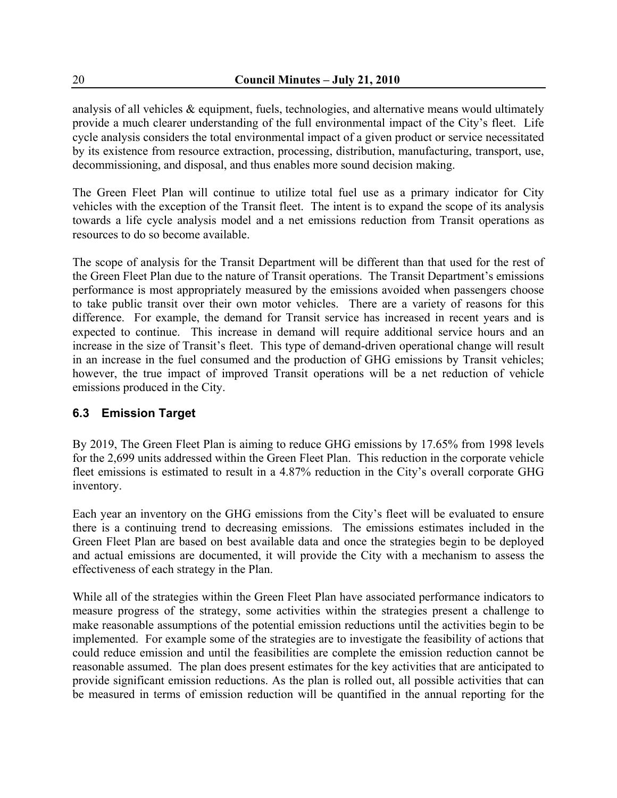analysis of all vehicles & equipment, fuels, technologies, and alternative means would ultimately provide a much clearer understanding of the full environmental impact of the City's fleet. Life cycle analysis considers the total environmental impact of a given product or service necessitated by its existence from resource extraction, processing, distribution, manufacturing, transport, use, decommissioning, and disposal, and thus enables more sound decision making.

The Green Fleet Plan will continue to utilize total fuel use as a primary indicator for City vehicles with the exception of the Transit fleet. The intent is to expand the scope of its analysis towards a life cycle analysis model and a net emissions reduction from Transit operations as resources to do so become available.

The scope of analysis for the Transit Department will be different than that used for the rest of the Green Fleet Plan due to the nature of Transit operations. The Transit Department's emissions performance is most appropriately measured by the emissions avoided when passengers choose to take public transit over their own motor vehicles. There are a variety of reasons for this difference. For example, the demand for Transit service has increased in recent years and is expected to continue. This increase in demand will require additional service hours and an increase in the size of Transit's fleet. This type of demand-driven operational change will result in an increase in the fuel consumed and the production of GHG emissions by Transit vehicles; however, the true impact of improved Transit operations will be a net reduction of vehicle emissions produced in the City.

## **6.3 Emission Target**

By 2019, The Green Fleet Plan is aiming to reduce GHG emissions by 17.65% from 1998 levels for the 2,699 units addressed within the Green Fleet Plan. This reduction in the corporate vehicle fleet emissions is estimated to result in a 4.87% reduction in the City's overall corporate GHG inventory.

Each year an inventory on the GHG emissions from the City's fleet will be evaluated to ensure there is a continuing trend to decreasing emissions. The emissions estimates included in the Green Fleet Plan are based on best available data and once the strategies begin to be deployed and actual emissions are documented, it will provide the City with a mechanism to assess the effectiveness of each strategy in the Plan.

While all of the strategies within the Green Fleet Plan have associated performance indicators to measure progress of the strategy, some activities within the strategies present a challenge to make reasonable assumptions of the potential emission reductions until the activities begin to be implemented. For example some of the strategies are to investigate the feasibility of actions that could reduce emission and until the feasibilities are complete the emission reduction cannot be reasonable assumed. The plan does present estimates for the key activities that are anticipated to provide significant emission reductions. As the plan is rolled out, all possible activities that can be measured in terms of emission reduction will be quantified in the annual reporting for the

20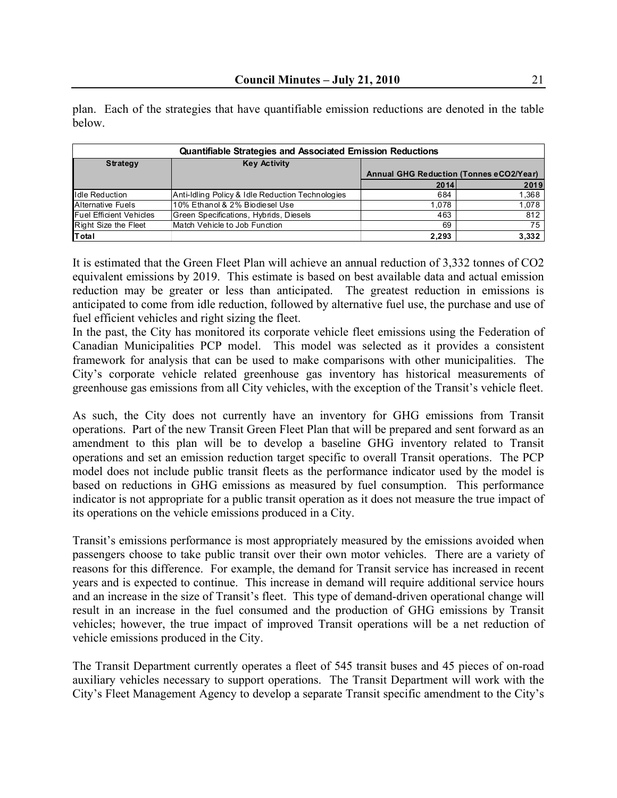| <b>Quantifiable Strategies and Associated Emission Reductions</b> |                                                  |                                         |       |  |  |  |  |  |
|-------------------------------------------------------------------|--------------------------------------------------|-----------------------------------------|-------|--|--|--|--|--|
| <b>Strategy</b>                                                   | <b>Key Activity</b>                              |                                         |       |  |  |  |  |  |
|                                                                   |                                                  | Annual GHG Reduction (Tonnes eCO2/Year) |       |  |  |  |  |  |
|                                                                   |                                                  | 2014                                    | 2019  |  |  |  |  |  |
| <b>Idle Reduction</b>                                             | Anti-Idling Policy & Idle Reduction Technologies | 684                                     | 1,368 |  |  |  |  |  |
| Alternative Fuels                                                 | 10% Ethanol & 2% Biodiesel Use                   | 1.078                                   | 1,078 |  |  |  |  |  |
| <b>Fuel Efficient Vehicles</b>                                    | Green Specifications, Hybrids, Diesels           | 463                                     | 812   |  |  |  |  |  |
| Right Size the Fleet                                              | Match Vehicle to Job Function                    | 69                                      | 75    |  |  |  |  |  |
| Total                                                             |                                                  | 2,293                                   | 3,332 |  |  |  |  |  |

plan. Each of the strategies that have quantifiable emission reductions are denoted in the table below.

It is estimated that the Green Fleet Plan will achieve an annual reduction of 3,332 tonnes of CO2 equivalent emissions by 2019. This estimate is based on best available data and actual emission reduction may be greater or less than anticipated. The greatest reduction in emissions is anticipated to come from idle reduction, followed by alternative fuel use, the purchase and use of fuel efficient vehicles and right sizing the fleet.

In the past, the City has monitored its corporate vehicle fleet emissions using the Federation of Canadian Municipalities PCP model. This model was selected as it provides a consistent framework for analysis that can be used to make comparisons with other municipalities. The City's corporate vehicle related greenhouse gas inventory has historical measurements of greenhouse gas emissions from all City vehicles, with the exception of the Transit's vehicle fleet.

As such, the City does not currently have an inventory for GHG emissions from Transit operations. Part of the new Transit Green Fleet Plan that will be prepared and sent forward as an amendment to this plan will be to develop a baseline GHG inventory related to Transit operations and set an emission reduction target specific to overall Transit operations. The PCP model does not include public transit fleets as the performance indicator used by the model is based on reductions in GHG emissions as measured by fuel consumption. This performance indicator is not appropriate for a public transit operation as it does not measure the true impact of its operations on the vehicle emissions produced in a City.

Transit's emissions performance is most appropriately measured by the emissions avoided when passengers choose to take public transit over their own motor vehicles. There are a variety of reasons for this difference. For example, the demand for Transit service has increased in recent years and is expected to continue. This increase in demand will require additional service hours and an increase in the size of Transit's fleet. This type of demand-driven operational change will result in an increase in the fuel consumed and the production of GHG emissions by Transit vehicles; however, the true impact of improved Transit operations will be a net reduction of vehicle emissions produced in the City.

The Transit Department currently operates a fleet of 545 transit buses and 45 pieces of on-road auxiliary vehicles necessary to support operations. The Transit Department will work with the City's Fleet Management Agency to develop a separate Transit specific amendment to the City's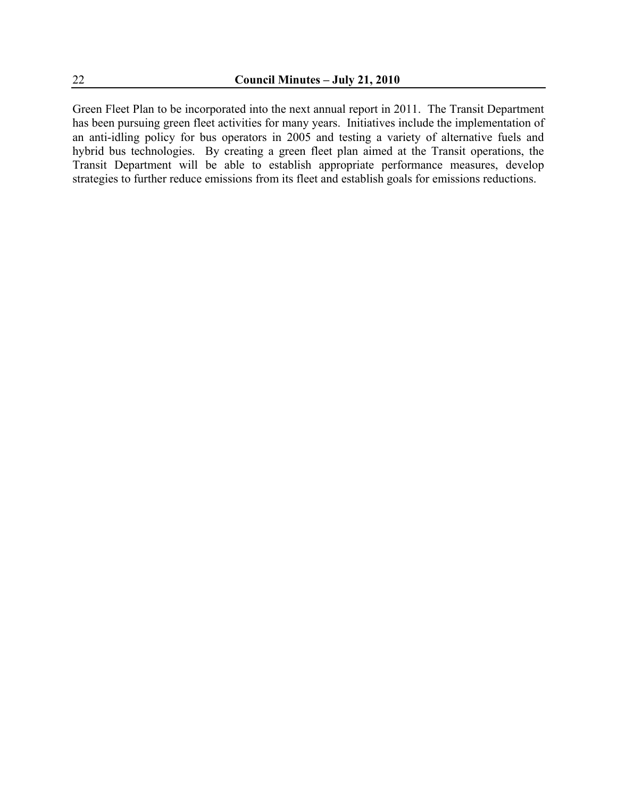Green Fleet Plan to be incorporated into the next annual report in 2011. The Transit Department has been pursuing green fleet activities for many years. Initiatives include the implementation of an anti-idling policy for bus operators in 2005 and testing a variety of alternative fuels and hybrid bus technologies. By creating a green fleet plan aimed at the Transit operations, the Transit Department will be able to establish appropriate performance measures, develop strategies to further reduce emissions from its fleet and establish goals for emissions reductions.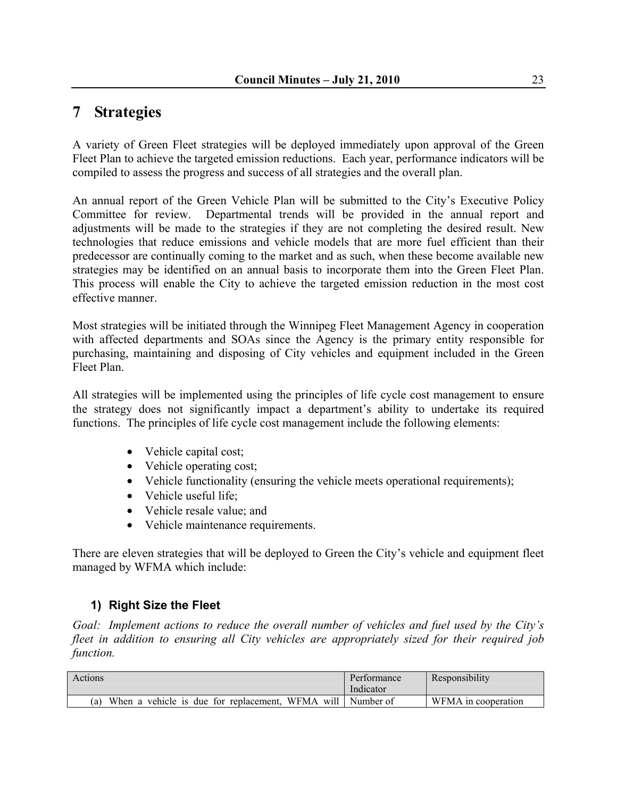# **7 Strategies**

A variety of Green Fleet strategies will be deployed immediately upon approval of the Green Fleet Plan to achieve the targeted emission reductions. Each year, performance indicators will be compiled to assess the progress and success of all strategies and the overall plan.

An annual report of the Green Vehicle Plan will be submitted to the City's Executive Policy Committee for review. Departmental trends will be provided in the annual report and adjustments will be made to the strategies if they are not completing the desired result. New technologies that reduce emissions and vehicle models that are more fuel efficient than their predecessor are continually coming to the market and as such, when these become available new strategies may be identified on an annual basis to incorporate them into the Green Fleet Plan. This process will enable the City to achieve the targeted emission reduction in the most cost effective manner.

Most strategies will be initiated through the Winnipeg Fleet Management Agency in cooperation with affected departments and SOAs since the Agency is the primary entity responsible for purchasing, maintaining and disposing of City vehicles and equipment included in the Green Fleet Plan.

All strategies will be implemented using the principles of life cycle cost management to ensure the strategy does not significantly impact a department's ability to undertake its required functions. The principles of life cycle cost management include the following elements:

- Vehicle capital cost;
- Vehicle operating cost;
- Vehicle functionality (ensuring the vehicle meets operational requirements);
- Vehicle useful life:
- Vehicle resale value; and
- Vehicle maintenance requirements.

There are eleven strategies that will be deployed to Green the City's vehicle and equipment fleet managed by WFMA which include:

#### **1) Right Size the Fleet**

*Goal: Implement actions to reduce the overall number of vehicles and fuel used by the City's fleet in addition to ensuring all City vehicles are appropriately sized for their required job function.* 

| Actions                                               | Performance<br>Indicator | Responsibility      |
|-------------------------------------------------------|--------------------------|---------------------|
| When a vehicle is due for replacement,<br>WFMA<br>(a) | will   Number of         | WFMA in cooperation |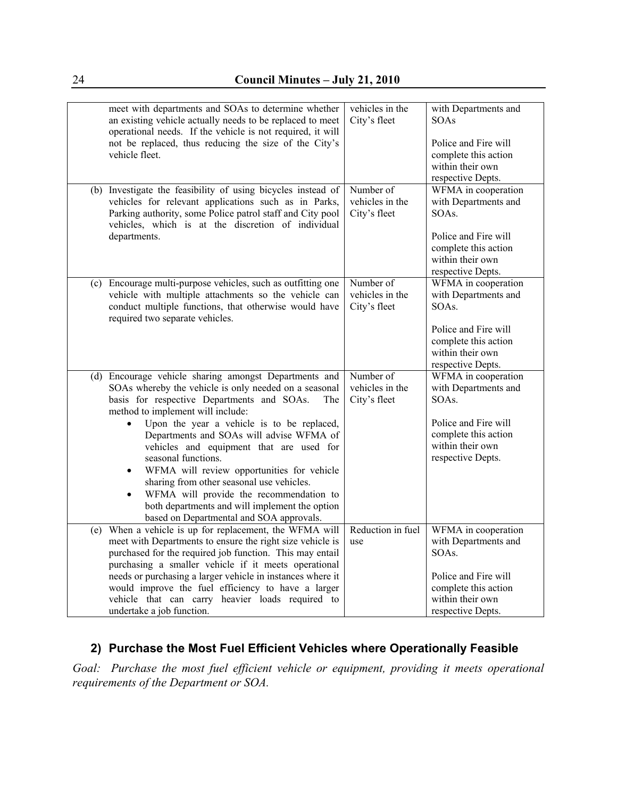| meet with departments and SOAs to determine whether<br>an existing vehicle actually needs to be replaced to meet<br>operational needs. If the vehicle is not required, it will<br>not be replaced, thus reducing the size of the City's<br>vehicle fleet.                                                                                                                                                                                                                                                                                                                                                 | vehicles in the<br>City's fleet              | with Departments and<br><b>SOAs</b><br>Police and Fire will<br>complete this action<br>within their own<br>respective Depts.                  |
|-----------------------------------------------------------------------------------------------------------------------------------------------------------------------------------------------------------------------------------------------------------------------------------------------------------------------------------------------------------------------------------------------------------------------------------------------------------------------------------------------------------------------------------------------------------------------------------------------------------|----------------------------------------------|-----------------------------------------------------------------------------------------------------------------------------------------------|
| (b) Investigate the feasibility of using bicycles instead of<br>vehicles for relevant applications such as in Parks,<br>Parking authority, some Police patrol staff and City pool<br>vehicles, which is at the discretion of individual<br>departments.                                                                                                                                                                                                                                                                                                                                                   | Number of<br>vehicles in the<br>City's fleet | WFMA in cooperation<br>with Departments and<br>SOAs.<br>Police and Fire will<br>complete this action<br>within their own<br>respective Depts. |
| (c) Encourage multi-purpose vehicles, such as outfitting one<br>vehicle with multiple attachments so the vehicle can<br>conduct multiple functions, that otherwise would have<br>required two separate vehicles.                                                                                                                                                                                                                                                                                                                                                                                          | Number of<br>vehicles in the<br>City's fleet | WFMA in cooperation<br>with Departments and<br>SOAs.<br>Police and Fire will<br>complete this action<br>within their own<br>respective Depts. |
| (d) Encourage vehicle sharing amongst Departments and<br>SOAs whereby the vehicle is only needed on a seasonal<br>basis for respective Departments and SOAs.<br>The<br>method to implement will include:<br>Upon the year a vehicle is to be replaced,<br>Departments and SOAs will advise WFMA of<br>vehicles and equipment that are used for<br>seasonal functions.<br>WFMA will review opportunities for vehicle<br>sharing from other seasonal use vehicles.<br>WFMA will provide the recommendation to<br>both departments and will implement the option<br>based on Departmental and SOA approvals. | Number of<br>vehicles in the<br>City's fleet | WFMA in cooperation<br>with Departments and<br>SOAs.<br>Police and Fire will<br>complete this action<br>within their own<br>respective Depts. |
| (e) When a vehicle is up for replacement, the WFMA will<br>meet with Departments to ensure the right size vehicle is<br>purchased for the required job function. This may entail<br>purchasing a smaller vehicle if it meets operational<br>needs or purchasing a larger vehicle in instances where it<br>would improve the fuel efficiency to have a larger<br>vehicle that can carry heavier loads required to<br>undertake a job function.                                                                                                                                                             | Reduction in fuel<br>use                     | WFMA in cooperation<br>with Departments and<br>SOAs.<br>Police and Fire will<br>complete this action<br>within their own<br>respective Depts. |

## **2) Purchase the Most Fuel Efficient Vehicles where Operationally Feasible**

*Goal: Purchase the most fuel efficient vehicle or equipment, providing it meets operational requirements of the Department or SOA.*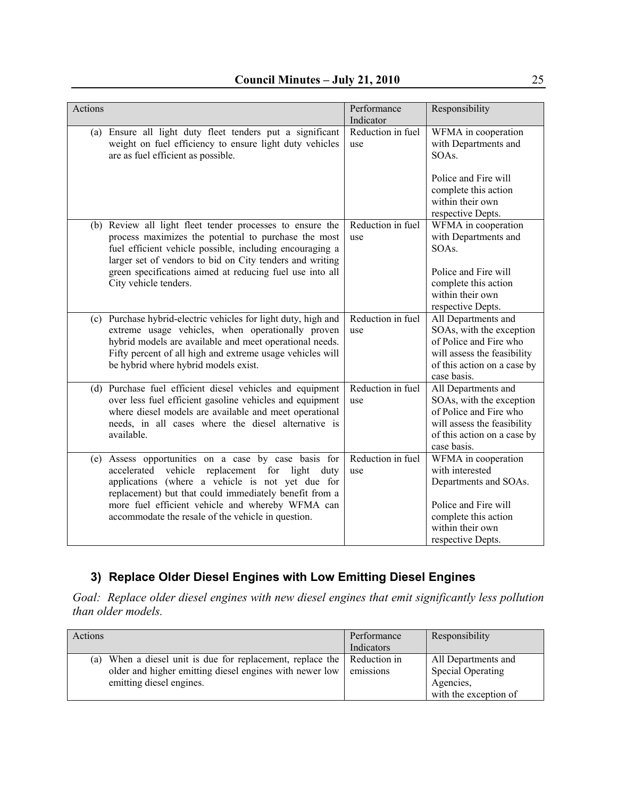| Actions |                                                                                                                                                                                                                                                                                                                                      | Performance<br>Indicator | Responsibility                                                                                                                                           |
|---------|--------------------------------------------------------------------------------------------------------------------------------------------------------------------------------------------------------------------------------------------------------------------------------------------------------------------------------------|--------------------------|----------------------------------------------------------------------------------------------------------------------------------------------------------|
|         | (a) Ensure all light duty fleet tenders put a significant<br>weight on fuel efficiency to ensure light duty vehicles<br>are as fuel efficient as possible.                                                                                                                                                                           | Reduction in fuel<br>use | WFMA in cooperation<br>with Departments and<br>SOAs.<br>Police and Fire will<br>complete this action<br>within their own<br>respective Depts.            |
|         | (b) Review all light fleet tender processes to ensure the<br>process maximizes the potential to purchase the most<br>fuel efficient vehicle possible, including encouraging a<br>larger set of vendors to bid on City tenders and writing<br>green specifications aimed at reducing fuel use into all<br>City vehicle tenders.       | Reduction in fuel<br>use | WFMA in cooperation<br>with Departments and<br>SOAs.<br>Police and Fire will<br>complete this action<br>within their own<br>respective Depts.            |
|         | (c) Purchase hybrid-electric vehicles for light duty, high and<br>extreme usage vehicles, when operationally proven<br>hybrid models are available and meet operational needs.<br>Fifty percent of all high and extreme usage vehicles will<br>be hybrid where hybrid models exist.                                                  | Reduction in fuel<br>use | All Departments and<br>SOAs, with the exception<br>of Police and Fire who<br>will assess the feasibility<br>of this action on a case by<br>case basis.   |
|         | (d) Purchase fuel efficient diesel vehicles and equipment<br>over less fuel efficient gasoline vehicles and equipment<br>where diesel models are available and meet operational<br>needs, in all cases where the diesel alternative is<br>available.                                                                                 | Reduction in fuel<br>use | All Departments and<br>SOAs, with the exception<br>of Police and Fire who<br>will assess the feasibility<br>of this action on a case by<br>case basis.   |
|         | (e) Assess opportunities on a case by case basis for<br>accelerated vehicle<br>replacement for light<br>duty<br>applications (where a vehicle is not yet due for<br>replacement) but that could immediately benefit from a<br>more fuel efficient vehicle and whereby WFMA can<br>accommodate the resale of the vehicle in question. | Reduction in fuel<br>use | WFMA in cooperation<br>with interested<br>Departments and SOAs.<br>Police and Fire will<br>complete this action<br>within their own<br>respective Depts. |

## **3) Replace Older Diesel Engines with Low Emitting Diesel Engines**

*Goal: Replace older diesel engines with new diesel engines that emit significantly less pollution than older models.* 

| Actions                                                                                                                                                            | Performance<br>Indicators | Responsibility                                                                 |
|--------------------------------------------------------------------------------------------------------------------------------------------------------------------|---------------------------|--------------------------------------------------------------------------------|
| (a) When a diesel unit is due for replacement, replace the   Reduction in<br>older and higher emitting diesel engines with newer low  <br>emitting diesel engines. | emissions                 | All Departments and<br>Special Operating<br>Agencies,<br>with the exception of |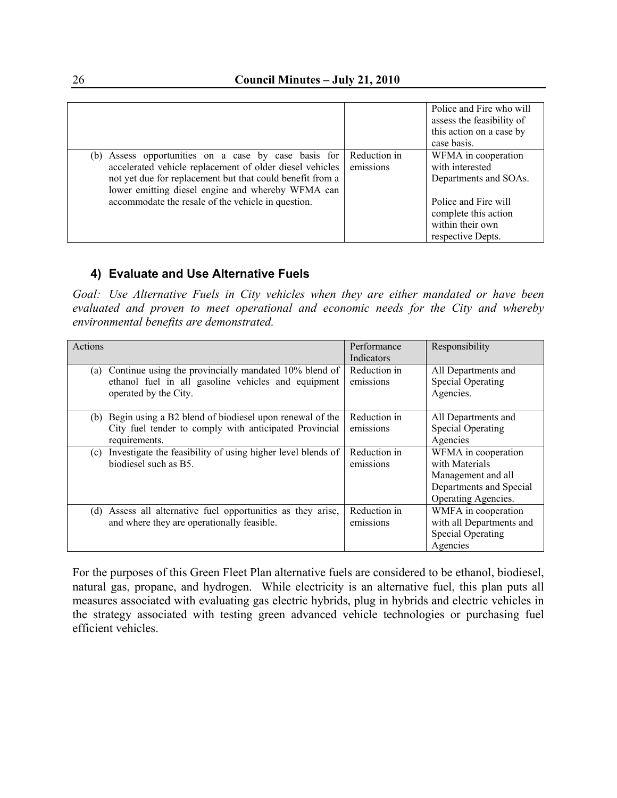|                                                                                                                                                                                                                                       |                           | Police and Fire who will<br>assess the feasibility of<br>this action on a case by<br>case basis. |
|---------------------------------------------------------------------------------------------------------------------------------------------------------------------------------------------------------------------------------------|---------------------------|--------------------------------------------------------------------------------------------------|
| Assess opportunities on a case by case basis for<br>(b)<br>accelerated vehicle replacement of older diesel vehicles<br>not yet due for replacement but that could benefit from a<br>lower emitting diesel engine and whereby WFMA can | Reduction in<br>emissions | WFMA in cooperation<br>with interested<br>Departments and SOAs.                                  |
| accommodate the resale of the vehicle in question.                                                                                                                                                                                    |                           | Police and Fire will<br>complete this action<br>within their own<br>respective Depts.            |

#### **4) Evaluate and Use Alternative Fuels**

*Goal: Use Alternative Fuels in City vehicles when they are either mandated or have been evaluated and proven to meet operational and economic needs for the City and whereby environmental benefits are demonstrated.* 

| Actions                                                                                                                                      | Performance<br>Indicators | Responsibility                                                                                                |
|----------------------------------------------------------------------------------------------------------------------------------------------|---------------------------|---------------------------------------------------------------------------------------------------------------|
| Continue using the provincially mandated 10% blend of<br>(a)<br>ethanol fuel in all gasoline vehicles and equipment<br>operated by the City. | Reduction in<br>emissions | All Departments and<br><b>Special Operating</b><br>Agencies.                                                  |
| Begin using a B2 blend of biodiesel upon renewal of the<br>(b)<br>City fuel tender to comply with anticipated Provincial<br>requirements.    | Reduction in<br>emissions | All Departments and<br><b>Special Operating</b><br>Agencies                                                   |
| Investigate the feasibility of using higher level blends of<br>(c)<br>biodiesel such as B5.                                                  | Reduction in<br>emissions | WFMA in cooperation<br>with Materials<br>Management and all<br>Departments and Special<br>Operating Agencies. |
| Assess all alternative fuel opportunities as they arise,<br>(d)<br>and where they are operationally feasible.                                | Reduction in<br>emissions | WMFA in cooperation<br>with all Departments and<br><b>Special Operating</b><br>Agencies                       |

For the purposes of this Green Fleet Plan alternative fuels are considered to be ethanol, biodiesel, natural gas, propane, and hydrogen. While electricity is an alternative fuel, this plan puts all measures associated with evaluating gas electric hybrids, plug in hybrids and electric vehicles in the strategy associated with testing green advanced vehicle technologies or purchasing fuel efficient vehicles.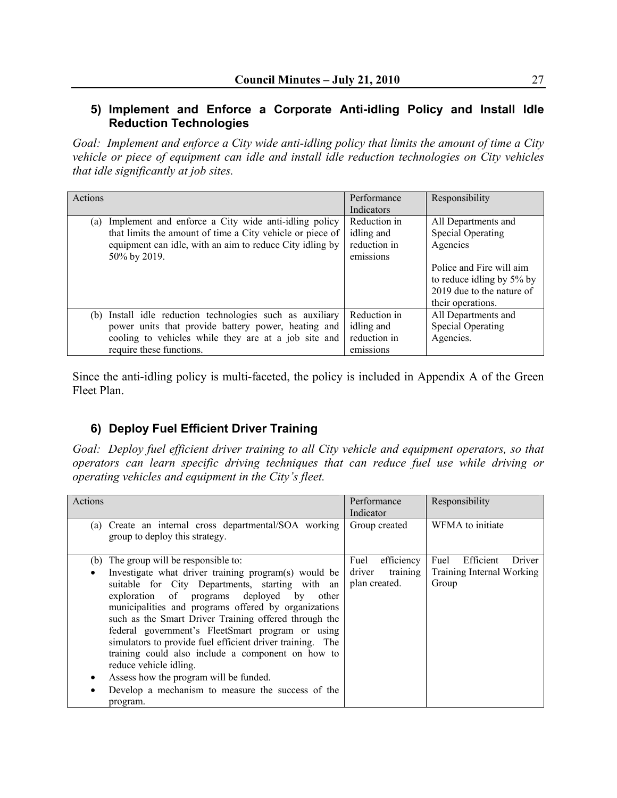#### **5) Implement and Enforce a Corporate Anti-idling Policy and Install Idle Reduction Technologies**

*Goal: Implement and enforce a City wide anti-idling policy that limits the amount of time a City vehicle or piece of equipment can idle and install idle reduction technologies on City vehicles that idle significantly at job sites.* 

| Actions                                                                                                                                                                                              | Performance<br>Indicators                               | Responsibility                                                                                                                                                         |
|------------------------------------------------------------------------------------------------------------------------------------------------------------------------------------------------------|---------------------------------------------------------|------------------------------------------------------------------------------------------------------------------------------------------------------------------------|
| Implement and enforce a City wide anti-idling policy<br>(a)<br>that limits the amount of time a City vehicle or piece of<br>equipment can idle, with an aim to reduce City idling by<br>50% by 2019. | Reduction in<br>idling and<br>reduction in<br>emissions | All Departments and<br><b>Special Operating</b><br>Agencies<br>Police and Fire will aim<br>to reduce idling by 5% by<br>2019 due to the nature of<br>their operations. |
| (b) Install idle reduction technologies such as auxiliary<br>power units that provide battery power, heating and<br>cooling to vehicles while they are at a job site and<br>require these functions. | Reduction in<br>idling and<br>reduction in<br>emissions | All Departments and<br><b>Special Operating</b><br>Agencies.                                                                                                           |

Since the anti-idling policy is multi-faceted, the policy is included in Appendix A of the Green Fleet Plan.

# **6) Deploy Fuel Efficient Driver Training**

*Goal: Deploy fuel efficient driver training to all City vehicle and equipment operators, so that operators can learn specific driving techniques that can reduce fuel use while driving or operating vehicles and equipment in the City's fleet.* 

| Actions                                                                                                                                                                                                                                                                                                                                                                                                                                                                                                                                                                                                                         | Performance<br>Indicator                                  | Responsibility                                                           |
|---------------------------------------------------------------------------------------------------------------------------------------------------------------------------------------------------------------------------------------------------------------------------------------------------------------------------------------------------------------------------------------------------------------------------------------------------------------------------------------------------------------------------------------------------------------------------------------------------------------------------------|-----------------------------------------------------------|--------------------------------------------------------------------------|
| (a) Create an internal cross departmental/SOA working<br>group to deploy this strategy.                                                                                                                                                                                                                                                                                                                                                                                                                                                                                                                                         | Group created                                             | WFMA to initiate                                                         |
| The group will be responsible to:<br>(b)<br>Investigate what driver training program(s) would be<br>suitable for City Departments, starting with an<br>exploration of programs deployed by<br>other<br>municipalities and programs offered by organizations<br>such as the Smart Driver Training offered through the<br>federal government's FleetSmart program or using<br>simulators to provide fuel efficient driver training. The<br>training could also include a component on how to<br>reduce vehicle idling.<br>Assess how the program will be funded.<br>Develop a mechanism to measure the success of the<br>program. | efficiency<br>Fuel<br>training<br>driver<br>plan created. | Efficient<br>Fuel<br><b>Driver</b><br>Training Internal Working<br>Group |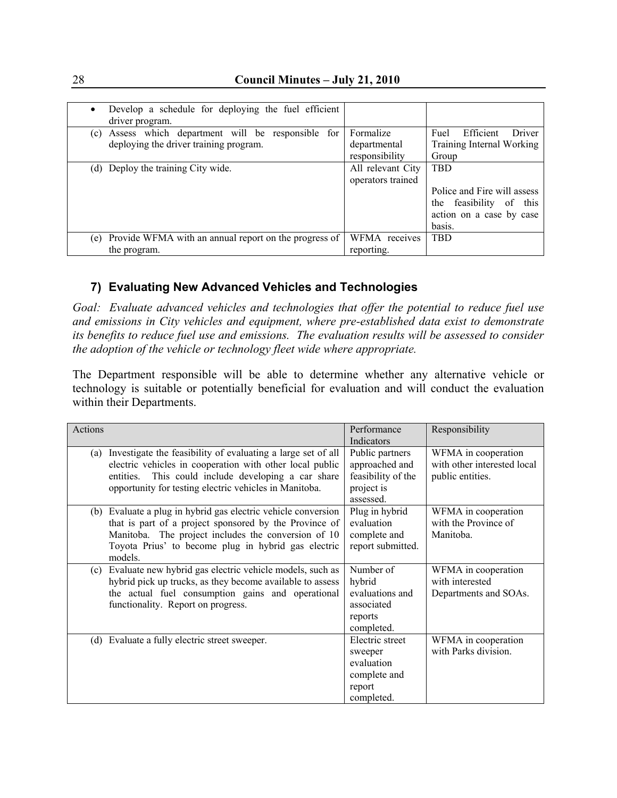| Develop a schedule for deploying the fuel efficient<br>driver program.                              |                                             |                                                                                                                  |
|-----------------------------------------------------------------------------------------------------|---------------------------------------------|------------------------------------------------------------------------------------------------------------------|
| Assess which department will be responsible<br>(c)<br>for<br>deploying the driver training program. | Formalize<br>departmental<br>responsibility | Efficient<br>Fuel<br>Driver<br>Training Internal Working<br>Group                                                |
| (d) Deploy the training City wide.                                                                  | All relevant City<br>operators trained      | <b>TRD</b><br>Police and Fire will assess<br>feasibility<br>of this<br>the<br>action on a case by case<br>basis. |
| Provide WFMA with an annual report on the progress of<br>(e)<br>the program.                        | WFMA receives<br>reporting.                 | <b>TBD</b>                                                                                                       |

## **7) Evaluating New Advanced Vehicles and Technologies**

*Goal: Evaluate advanced vehicles and technologies that offer the potential to reduce fuel use and emissions in City vehicles and equipment, where pre-established data exist to demonstrate its benefits to reduce fuel use and emissions. The evaluation results will be assessed to consider the adoption of the vehicle or technology fleet wide where appropriate.* 

The Department responsible will be able to determine whether any alternative vehicle or technology is suitable or potentially beneficial for evaluation and will conduct the evaluation within their Departments.

| Actions                                                             | Performance        | Responsibility              |
|---------------------------------------------------------------------|--------------------|-----------------------------|
|                                                                     | Indicators         |                             |
| Investigate the feasibility of evaluating a large set of all<br>(a) | Public partners    | WFMA in cooperation         |
| electric vehicles in cooperation with other local public            | approached and     | with other interested local |
| This could include developing a car share<br>entities.              | feasibility of the | public entities.            |
| opportunity for testing electric vehicles in Manitoba.              | project is         |                             |
|                                                                     | assessed.          |                             |
| (b) Evaluate a plug in hybrid gas electric vehicle conversion       | Plug in hybrid     | WFMA in cooperation         |
| that is part of a project sponsored by the Province of              | evaluation         | with the Province of        |
| Manitoba. The project includes the conversion of 10                 | complete and       | Manitoba.                   |
| Toyota Prius' to become plug in hybrid gas electric                 | report submitted.  |                             |
| models.                                                             |                    |                             |
| Evaluate new hybrid gas electric vehicle models, such as<br>(c)     | Number of          | WFMA in cooperation         |
| hybrid pick up trucks, as they become available to assess           | hybrid             | with interested             |
| the actual fuel consumption gains and operational                   | evaluations and    | Departments and SOAs.       |
| functionality. Report on progress.                                  | associated         |                             |
|                                                                     | reports            |                             |
|                                                                     | completed.         |                             |
| (d) Evaluate a fully electric street sweeper.                       | Electric street    | WFMA in cooperation         |
|                                                                     | sweeper            | with Parks division.        |
|                                                                     | evaluation         |                             |
|                                                                     | complete and       |                             |
|                                                                     | report             |                             |
|                                                                     | completed.         |                             |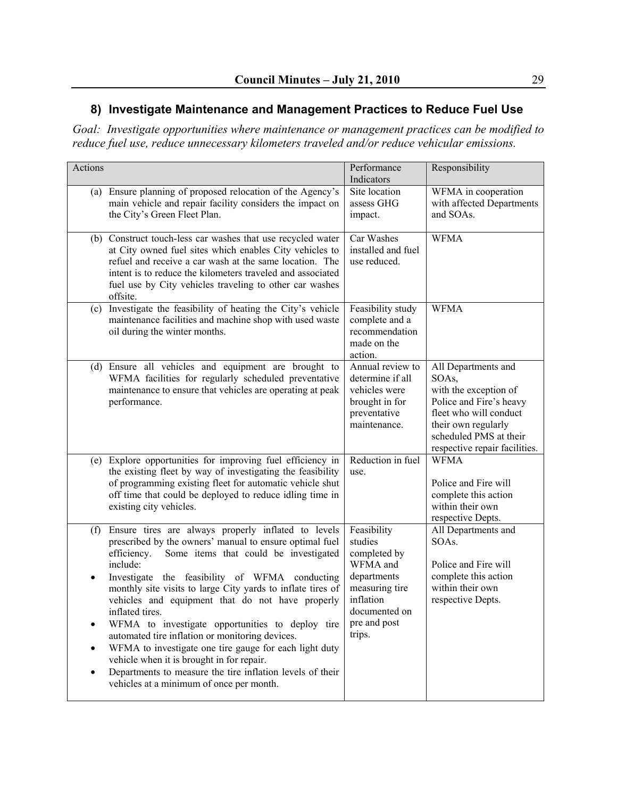## **8) Investigate Maintenance and Management Practices to Reduce Fuel Use**

*Goal: Investigate opportunities where maintenance or management practices can be modified to reduce fuel use, reduce unnecessary kilometers traveled and/or reduce vehicular emissions.*

| Actions          |                                                                                                                                                                                                                                                                                                                                                                                                                                                                                                                                                                                                                                                                                                   | Performance<br>Indicators                                                                                                                   | Responsibility                                                                                                                                                                               |
|------------------|---------------------------------------------------------------------------------------------------------------------------------------------------------------------------------------------------------------------------------------------------------------------------------------------------------------------------------------------------------------------------------------------------------------------------------------------------------------------------------------------------------------------------------------------------------------------------------------------------------------------------------------------------------------------------------------------------|---------------------------------------------------------------------------------------------------------------------------------------------|----------------------------------------------------------------------------------------------------------------------------------------------------------------------------------------------|
| (a)              | Ensure planning of proposed relocation of the Agency's<br>main vehicle and repair facility considers the impact on<br>the City's Green Fleet Plan.                                                                                                                                                                                                                                                                                                                                                                                                                                                                                                                                                | Site location<br>assess GHG<br>impact.                                                                                                      | WFMA in cooperation<br>with affected Departments<br>and SOAs.                                                                                                                                |
|                  | (b) Construct touch-less car washes that use recycled water<br>at City owned fuel sites which enables City vehicles to<br>refuel and receive a car wash at the same location. The<br>intent is to reduce the kilometers traveled and associated<br>fuel use by City vehicles traveling to other car washes<br>offsite.                                                                                                                                                                                                                                                                                                                                                                            | Car Washes<br>installed and fuel<br>use reduced.                                                                                            | <b>WFMA</b>                                                                                                                                                                                  |
|                  | (c) Investigate the feasibility of heating the City's vehicle<br>maintenance facilities and machine shop with used waste<br>oil during the winter months.                                                                                                                                                                                                                                                                                                                                                                                                                                                                                                                                         | Feasibility study<br>complete and a<br>recommendation<br>made on the<br>action.                                                             | <b>WFMA</b>                                                                                                                                                                                  |
|                  | (d) Ensure all vehicles and equipment are brought to<br>WFMA facilities for regularly scheduled preventative<br>maintenance to ensure that vehicles are operating at peak<br>performance.                                                                                                                                                                                                                                                                                                                                                                                                                                                                                                         | Annual review to<br>determine if all<br>vehicles were<br>brought in for<br>preventative<br>maintenance.                                     | All Departments and<br>SOAs,<br>with the exception of<br>Police and Fire's heavy<br>fleet who will conduct<br>their own regularly<br>scheduled PMS at their<br>respective repair facilities. |
|                  | (e) Explore opportunities for improving fuel efficiency in<br>the existing fleet by way of investigating the feasibility<br>of programming existing fleet for automatic vehicle shut<br>off time that could be deployed to reduce idling time in<br>existing city vehicles.                                                                                                                                                                                                                                                                                                                                                                                                                       | Reduction in fuel<br>use.                                                                                                                   | <b>WFMA</b><br>Police and Fire will<br>complete this action<br>within their own<br>respective Depts.                                                                                         |
| (f)<br>$\bullet$ | Ensure tires are always properly inflated to levels<br>prescribed by the owners' manual to ensure optimal fuel<br>Some items that could be investigated<br>efficiency.<br>include:<br>Investigate the feasibility of WFMA conducting<br>monthly site visits to large City yards to inflate tires of<br>vehicles and equipment that do not have properly<br>inflated tires.<br>WFMA to investigate opportunities to deploy tire<br>automated tire inflation or monitoring devices.<br>WFMA to investigate one tire gauge for each light duty<br>vehicle when it is brought in for repair.<br>Departments to measure the tire inflation levels of their<br>vehicles at a minimum of once per month. | Feasibility<br>studies<br>completed by<br>WFMA and<br>departments<br>measuring tire<br>inflation<br>documented on<br>pre and post<br>trips. | All Departments and<br>SOAs.<br>Police and Fire will<br>complete this action<br>within their own<br>respective Depts.                                                                        |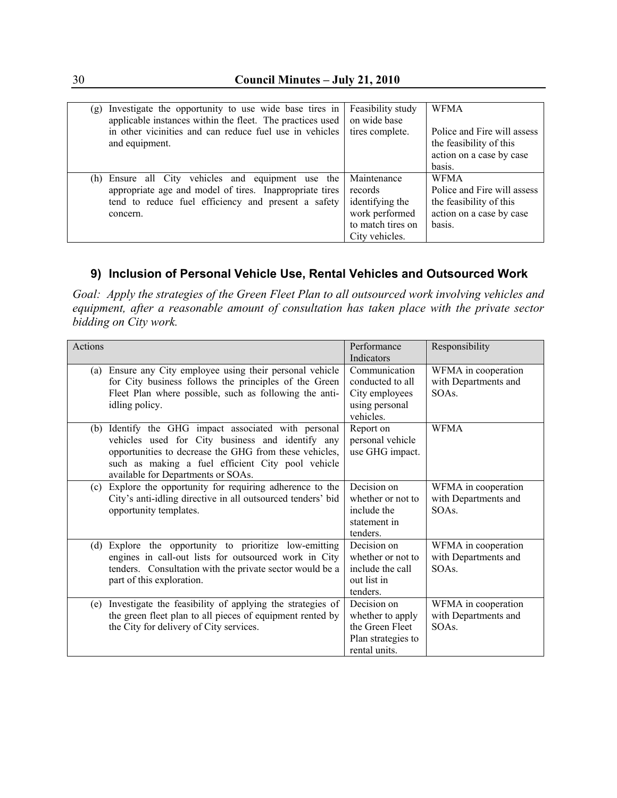| (g) Investigate the opportunity to use wide base tires in<br>applicable instances within the fleet. The practices used<br>in other vicinities and can reduce fuel use in vehicles<br>and equipment. | Feasibility study<br>on wide base<br>tires complete.                                               | <b>WFMA</b><br>Police and Fire will assess<br>the feasibility of this<br>action on a case by case<br>basis. |
|-----------------------------------------------------------------------------------------------------------------------------------------------------------------------------------------------------|----------------------------------------------------------------------------------------------------|-------------------------------------------------------------------------------------------------------------|
| (h) Ensure all City vehicles and equipment use the<br>appropriate age and model of tires. Inappropriate tires<br>tend to reduce fuel efficiency and present a safety<br>concern.                    | Maintenance<br>records<br>identifying the<br>work performed<br>to match tires on<br>City vehicles. | <b>WFMA</b><br>Police and Fire will assess<br>the feasibility of this<br>action on a case by case<br>basis. |

## **9) Inclusion of Personal Vehicle Use, Rental Vehicles and Outsourced Work**

*Goal: Apply the strategies of the Green Fleet Plan to all outsourced work involving vehicles and equipment, after a reasonable amount of consultation has taken place with the private sector bidding on City work.* 

| Actions                                                                                                                                                                                                                                                          | Performance<br>Indicators                                                                 | Responsibility                                       |
|------------------------------------------------------------------------------------------------------------------------------------------------------------------------------------------------------------------------------------------------------------------|-------------------------------------------------------------------------------------------|------------------------------------------------------|
| Ensure any City employee using their personal vehicle<br>(a)<br>for City business follows the principles of the Green<br>Fleet Plan where possible, such as following the anti-<br>idling policy.                                                                | Communication<br>conducted to all<br>City employees<br>using personal<br>vehicles.        | WFMA in cooperation<br>with Departments and<br>SOAs. |
| Identify the GHG impact associated with personal<br>(b)<br>vehicles used for City business and identify any<br>opportunities to decrease the GHG from these vehicles,<br>such as making a fuel efficient City pool vehicle<br>available for Departments or SOAs. | Report on<br>personal vehicle<br>use GHG impact.                                          | <b>WFMA</b>                                          |
| Explore the opportunity for requiring adherence to the<br>(c)<br>City's anti-idling directive in all outsourced tenders' bid<br>opportunity templates.                                                                                                           | Decision on<br>whether or not to<br>include the<br>statement in<br>tenders.               | WFMA in cooperation<br>with Departments and<br>SOAs. |
| Explore the opportunity to prioritize low-emitting<br>(d)<br>engines in call-out lists for outsourced work in City<br>tenders. Consultation with the private sector would be a<br>part of this exploration.                                                      | Decision on<br>whether or not to<br>include the call<br>out list in<br>tenders.           | WFMA in cooperation<br>with Departments and<br>SOAs. |
| Investigate the feasibility of applying the strategies of<br>(e)<br>the green fleet plan to all pieces of equipment rented by<br>the City for delivery of City services.                                                                                         | Decision on<br>whether to apply<br>the Green Fleet<br>Plan strategies to<br>rental units. | WFMA in cooperation<br>with Departments and<br>SOAs. |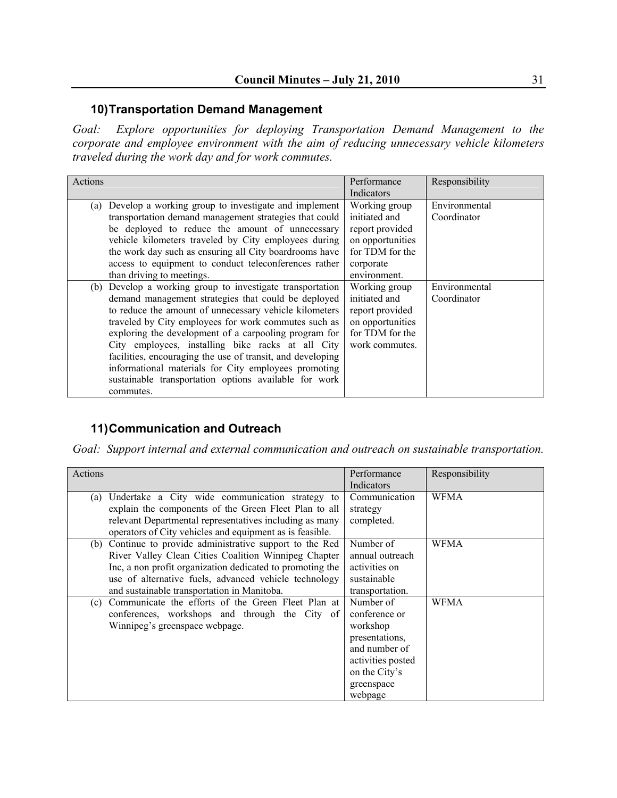#### **10) Transportation Demand Management**

*Goal: Explore opportunities for deploying Transportation Demand Management to the corporate and employee environment with the aim of reducing unnecessary vehicle kilometers traveled during the work day and for work commutes.* 

| Actions                                                                                                                                                                                                                                                                                                                                                                                                                                                                                                                                      | Performance<br>Indicators                                                                                             | Responsibility               |
|----------------------------------------------------------------------------------------------------------------------------------------------------------------------------------------------------------------------------------------------------------------------------------------------------------------------------------------------------------------------------------------------------------------------------------------------------------------------------------------------------------------------------------------------|-----------------------------------------------------------------------------------------------------------------------|------------------------------|
| Develop a working group to investigate and implement<br>(a)<br>transportation demand management strategies that could<br>be deployed to reduce the amount of unnecessary<br>vehicle kilometers traveled by City employees during<br>the work day such as ensuring all City boardrooms have<br>access to equipment to conduct teleconferences rather<br>than driving to meetings.                                                                                                                                                             | Working group<br>initiated and<br>report provided<br>on opportunities<br>for TDM for the<br>corporate<br>environment. | Environmental<br>Coordinator |
| (b) Develop a working group to investigate transportation<br>demand management strategies that could be deployed<br>to reduce the amount of unnecessary vehicle kilometers<br>traveled by City employees for work commutes such as<br>exploring the development of a carpooling program for<br>City employees, installing bike racks at all City<br>facilities, encouraging the use of transit, and developing<br>informational materials for City employees promoting<br>sustainable transportation options available for work<br>commutes. | Working group<br>initiated and<br>report provided<br>on opportunities<br>for TDM for the<br>work commutes.            | Environmental<br>Coordinator |

## **11) Communication and Outreach**

*Goal: Support internal and external communication and outreach on sustainable transportation.* 

| Actions                                                                                                                                                                                                                                                                                | Performance<br>Indicators                                                                                                                | Responsibility |
|----------------------------------------------------------------------------------------------------------------------------------------------------------------------------------------------------------------------------------------------------------------------------------------|------------------------------------------------------------------------------------------------------------------------------------------|----------------|
| (a) Undertake a City wide communication strategy to<br>explain the components of the Green Fleet Plan to all<br>relevant Departmental representatives including as many<br>operators of City vehicles and equipment as is feasible.                                                    | Communication<br>strategy<br>completed.                                                                                                  | <b>WFMA</b>    |
| (b) Continue to provide administrative support to the Red<br>River Valley Clean Cities Coalition Winnipeg Chapter<br>Inc, a non profit organization dedicated to promoting the<br>use of alternative fuels, advanced vehicle technology<br>and sustainable transportation in Manitoba. | Number of<br>annual outreach<br>activities on<br>sustainable<br>transportation.                                                          | WFMA           |
| (c) Communicate the efforts of the Green Fleet Plan at<br>conferences, workshops and through the City of<br>Winnipeg's greenspace webpage.                                                                                                                                             | Number of<br>conference or<br>workshop<br>presentations,<br>and number of<br>activities posted<br>on the City's<br>greenspace<br>webpage | <b>WFMA</b>    |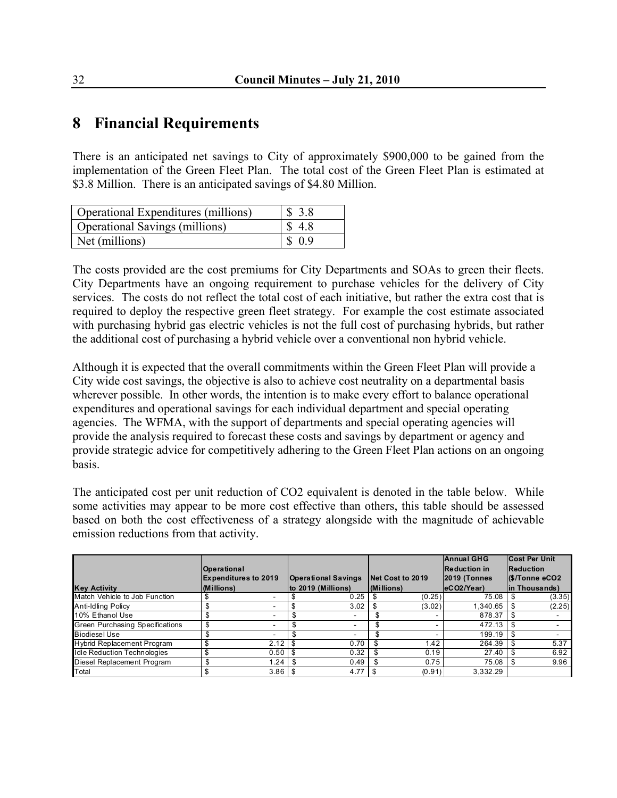# **8 Financial Requirements**

There is an anticipated net savings to City of approximately \$900,000 to be gained from the implementation of the Green Fleet Plan. The total cost of the Green Fleet Plan is estimated at \$3.8 Million. There is an anticipated savings of \$4.80 Million.

| <b>Operational Expenditures (millions)</b> | \$3.8  |
|--------------------------------------------|--------|
| <b>Operational Savings (millions)</b>      | \$4.8  |
| Net (millions)                             | \$ 0.9 |

The costs provided are the cost premiums for City Departments and SOAs to green their fleets. City Departments have an ongoing requirement to purchase vehicles for the delivery of City services. The costs do not reflect the total cost of each initiative, but rather the extra cost that is required to deploy the respective green fleet strategy. For example the cost estimate associated with purchasing hybrid gas electric vehicles is not the full cost of purchasing hybrids, but rather the additional cost of purchasing a hybrid vehicle over a conventional non hybrid vehicle.

Although it is expected that the overall commitments within the Green Fleet Plan will provide a City wide cost savings, the objective is also to achieve cost neutrality on a departmental basis wherever possible. In other words, the intention is to make every effort to balance operational expenditures and operational savings for each individual department and special operating agencies. The WFMA, with the support of departments and special operating agencies will provide the analysis required to forecast these costs and savings by department or agency and provide strategic advice for competitively adhering to the Green Fleet Plan actions on an ongoing basis.

The anticipated cost per unit reduction of CO2 equivalent is denoted in the table below. While some activities may appear to be more cost effective than others, this table should be assessed based on both the cost effectiveness of a strategy alongside with the magnitude of achievable emission reductions from that activity.

| <b>Key Activity</b>             | Operational<br>(Millions) | <b>Expenditures to 2019</b> | <b>Operational Savings</b><br>to 2019 (Millions) |      | <b>Net Cost to 2019</b><br>(Millions) | <b>Annual GHG</b><br><b>Reduction in</b><br>$ 2019 $ (Tonnes<br> eCO2/Year | <b>Cost Per Unit</b><br>Reduction<br>I(\$/Tonne eCO2<br>in Thousands) |
|---------------------------------|---------------------------|-----------------------------|--------------------------------------------------|------|---------------------------------------|----------------------------------------------------------------------------|-----------------------------------------------------------------------|
| Match Vehicle to Job Function   |                           |                             | 0.25                                             |      | (0.25)                                | 75.08                                                                      | (3.35)                                                                |
| Anti-Idling Policy              |                           | ۰                           | 3.02                                             | - \$ | (3.02)                                | 1.340.65                                                                   | (2.25)                                                                |
| 10% Ethanol Use                 | ъ                         |                             | ٠                                                | £.   |                                       | 878.37                                                                     |                                                                       |
| Green Purchasing Specifications | \$                        |                             | ۰                                                |      |                                       | 472.13                                                                     |                                                                       |
| <b>Biodiesel Use</b>            |                           |                             |                                                  |      |                                       | 199.19                                                                     |                                                                       |
| Hybrid Replacement Program      |                           | 2.12                        | 0.70                                             |      | 1.42                                  | 264.39                                                                     | 5.37                                                                  |
| I dle Reduction Technologies    |                           | 0.50                        | 0.32                                             | \$   | 0.19                                  | 27.40                                                                      | 6.92                                                                  |
| Diesel Replacement Program      |                           | 1.24                        | \$<br>0.49                                       |      | 0.75                                  | 75.08                                                                      | 9.96                                                                  |
| Total                           |                           | 3.86                        | 4.77                                             | l \$ | (0.91)                                | 3.332.29                                                                   |                                                                       |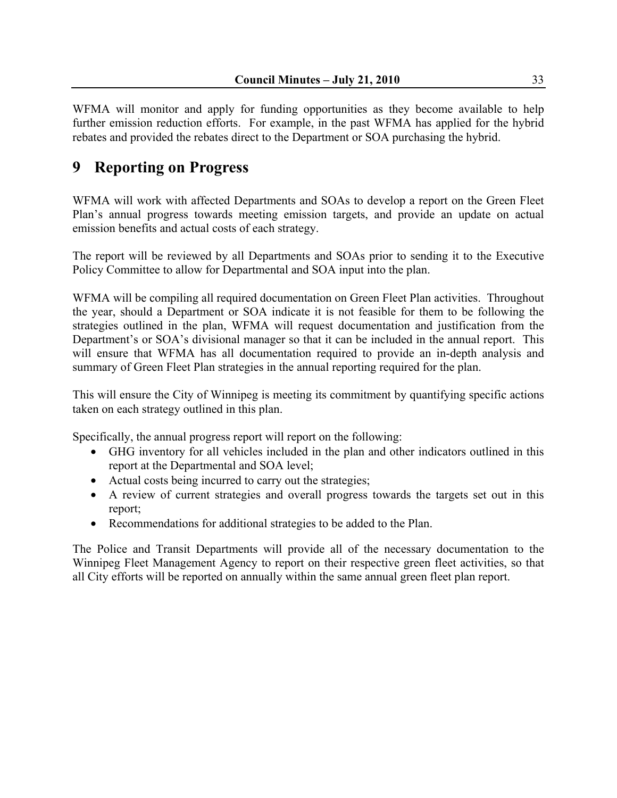WFMA will monitor and apply for funding opportunities as they become available to help further emission reduction efforts. For example, in the past WFMA has applied for the hybrid rebates and provided the rebates direct to the Department or SOA purchasing the hybrid.

# **9 Reporting on Progress**

WFMA will work with affected Departments and SOAs to develop a report on the Green Fleet Plan's annual progress towards meeting emission targets, and provide an update on actual emission benefits and actual costs of each strategy.

The report will be reviewed by all Departments and SOAs prior to sending it to the Executive Policy Committee to allow for Departmental and SOA input into the plan.

WFMA will be compiling all required documentation on Green Fleet Plan activities. Throughout the year, should a Department or SOA indicate it is not feasible for them to be following the strategies outlined in the plan, WFMA will request documentation and justification from the Department's or SOA's divisional manager so that it can be included in the annual report. This will ensure that WFMA has all documentation required to provide an in-depth analysis and summary of Green Fleet Plan strategies in the annual reporting required for the plan.

This will ensure the City of Winnipeg is meeting its commitment by quantifying specific actions taken on each strategy outlined in this plan.

Specifically, the annual progress report will report on the following:

- GHG inventory for all vehicles included in the plan and other indicators outlined in this report at the Departmental and SOA level;
- Actual costs being incurred to carry out the strategies;
- A review of current strategies and overall progress towards the targets set out in this report;
- Recommendations for additional strategies to be added to the Plan.

The Police and Transit Departments will provide all of the necessary documentation to the Winnipeg Fleet Management Agency to report on their respective green fleet activities, so that all City efforts will be reported on annually within the same annual green fleet plan report.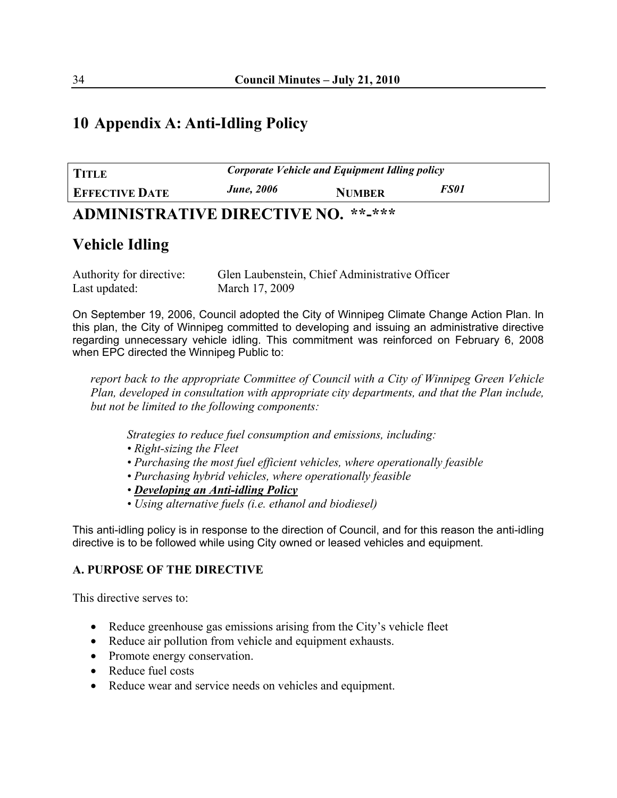# **10 Appendix A: Anti-Idling Policy**

| <b>TITLE</b>                                                                         | Corporate Vehicle and Equipment Idling policy |               |             |  |
|--------------------------------------------------------------------------------------|-----------------------------------------------|---------------|-------------|--|
| <b>EFFECTIVE DATE</b>                                                                | <b>June</b> , 2006                            | <b>NUMBER</b> | <i>FS01</i> |  |
| $\mathbf{A}$ by $\mathbf{H}$ internal $\mathbf{H}$ in the property $\mathbf{H}$<br>. |                                               |               |             |  |

# **ADMINISTRATIVE DIRECTIVE NO. \*\*-\*\*\***

# **Vehicle Idling**

Authority for directive: Glen Laubenstein, Chief Administrative Officer Last updated: March 17, 2009

On September 19, 2006, Council adopted the City of Winnipeg Climate Change Action Plan. In this plan, the City of Winnipeg committed to developing and issuing an administrative directive regarding unnecessary vehicle idling. This commitment was reinforced on February 6, 2008 when EPC directed the Winnipeg Public to:

*report back to the appropriate Committee of Council with a City of Winnipeg Green Vehicle Plan, developed in consultation with appropriate city departments, and that the Plan include, but not be limited to the following components:* 

*Strategies to reduce fuel consumption and emissions, including:* 

- *Right-sizing the Fleet*
- *Purchasing the most fuel efficient vehicles, where operationally feasible*
- *Purchasing hybrid vehicles, where operationally feasible*
- *Developing an Anti-idling Policy*
- *Using alternative fuels (i.e. ethanol and biodiesel)*

This anti-idling policy is in response to the direction of Council, and for this reason the anti-idling directive is to be followed while using City owned or leased vehicles and equipment.

#### **A. PURPOSE OF THE DIRECTIVE**

This directive serves to:

- Reduce greenhouse gas emissions arising from the City's vehicle fleet
- Reduce air pollution from vehicle and equipment exhausts.
- Promote energy conservation.
- Reduce fuel costs
- Reduce wear and service needs on vehicles and equipment.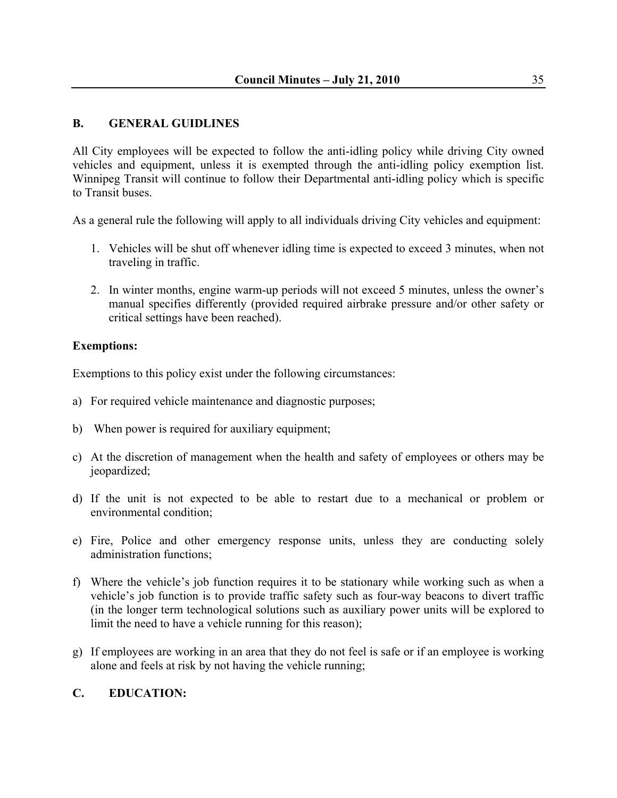#### **B. GENERAL GUIDLINES**

All City employees will be expected to follow the anti-idling policy while driving City owned vehicles and equipment, unless it is exempted through the anti-idling policy exemption list. Winnipeg Transit will continue to follow their Departmental anti-idling policy which is specific to Transit buses.

As a general rule the following will apply to all individuals driving City vehicles and equipment:

- 1. Vehicles will be shut off whenever idling time is expected to exceed 3 minutes, when not traveling in traffic.
- 2. In winter months, engine warm-up periods will not exceed 5 minutes, unless the owner's manual specifies differently (provided required airbrake pressure and/or other safety or critical settings have been reached).

#### **Exemptions:**

Exemptions to this policy exist under the following circumstances:

- a) For required vehicle maintenance and diagnostic purposes;
- b) When power is required for auxiliary equipment;
- c) At the discretion of management when the health and safety of employees or others may be jeopardized;
- d) If the unit is not expected to be able to restart due to a mechanical or problem or environmental condition;
- e) Fire, Police and other emergency response units, unless they are conducting solely administration functions;
- f) Where the vehicle's job function requires it to be stationary while working such as when a vehicle's job function is to provide traffic safety such as four-way beacons to divert traffic (in the longer term technological solutions such as auxiliary power units will be explored to limit the need to have a vehicle running for this reason);
- g) If employees are working in an area that they do not feel is safe or if an employee is working alone and feels at risk by not having the vehicle running;

#### **C. EDUCATION:**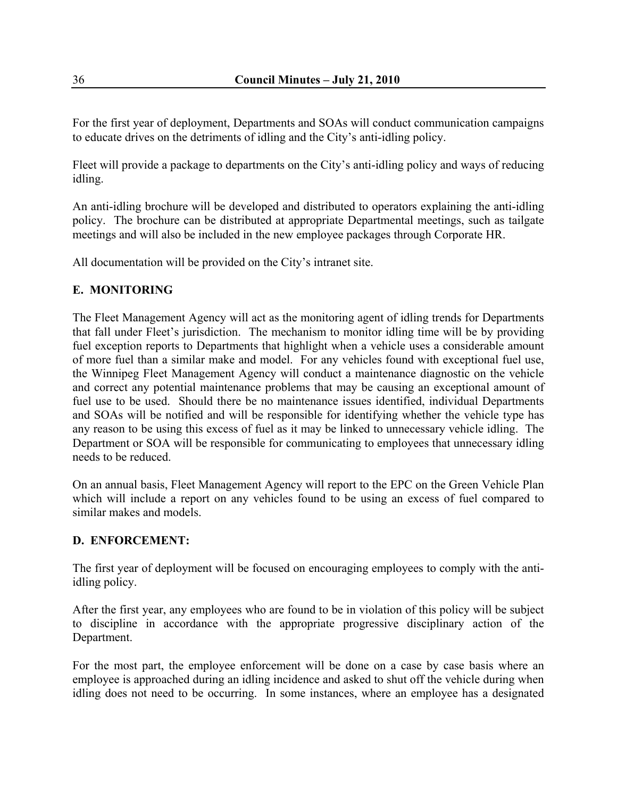For the first year of deployment, Departments and SOAs will conduct communication campaigns to educate drives on the detriments of idling and the City's anti-idling policy.

Fleet will provide a package to departments on the City's anti-idling policy and ways of reducing idling.

An anti-idling brochure will be developed and distributed to operators explaining the anti-idling policy. The brochure can be distributed at appropriate Departmental meetings, such as tailgate meetings and will also be included in the new employee packages through Corporate HR.

All documentation will be provided on the City's intranet site.

#### **E. MONITORING**

The Fleet Management Agency will act as the monitoring agent of idling trends for Departments that fall under Fleet's jurisdiction. The mechanism to monitor idling time will be by providing fuel exception reports to Departments that highlight when a vehicle uses a considerable amount of more fuel than a similar make and model. For any vehicles found with exceptional fuel use, the Winnipeg Fleet Management Agency will conduct a maintenance diagnostic on the vehicle and correct any potential maintenance problems that may be causing an exceptional amount of fuel use to be used. Should there be no maintenance issues identified, individual Departments and SOAs will be notified and will be responsible for identifying whether the vehicle type has any reason to be using this excess of fuel as it may be linked to unnecessary vehicle idling. The Department or SOA will be responsible for communicating to employees that unnecessary idling needs to be reduced.

On an annual basis, Fleet Management Agency will report to the EPC on the Green Vehicle Plan which will include a report on any vehicles found to be using an excess of fuel compared to similar makes and models.

#### **D. ENFORCEMENT:**

The first year of deployment will be focused on encouraging employees to comply with the antiidling policy.

After the first year, any employees who are found to be in violation of this policy will be subject to discipline in accordance with the appropriate progressive disciplinary action of the Department.

For the most part, the employee enforcement will be done on a case by case basis where an employee is approached during an idling incidence and asked to shut off the vehicle during when idling does not need to be occurring. In some instances, where an employee has a designated